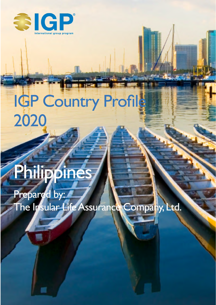

# IGP Country Profile 2020

# Philippines

Prepared by: The Insular Life Assurance Company, Ltd.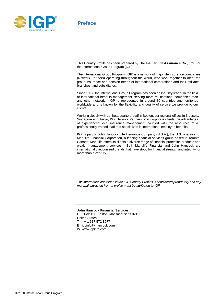

**Preface**

This Country Profile has been prepared by **The Insular Life Assurance Co., Ltd.** For the International Group Program (IGP).

The International Group Program (IGP) is a network of major life insurance companies (Network Partners) operating throughout the world, who work together to meet the group insurance and pension needs of international corporations and their affiliates, branches, and subsidiaries.

Since 1967, the International Group Program has been an industry leader in the field of international benefits management, serving more multinational companies than any other network. IGP is represented in around 80 countries and territories worldwide and is known for the flexibility and quality of service we provide to our clients.

Working closely with our headquarters' staff in Boston, our regional offices in Brussels, Singapore and Tokyo, IGP Network Partners offer corporate clients the advantages of experienced local insurance management coupled with the resources of a professionally trained staff that specializes in international employee benefits.

IGP is part of John Hancock Life Insurance Company (U.S.A.), the U.S. operation of Manulife Financial Corporation, a leading financial services group based in Toronto, Canada. Manulife offers its clients a diverse range of financial protection products and wealth management services. Both Manulife Financial and John Hancock are internationally recognized brands that have stood for financial strength and integrity for more than a century.

*The information contained in the IGP Country Profiles is considered proprietary and any material extracted from a profile must be attributed to IGP.*

#### **John Hancock Financial Services**

P.O. Box 111, Boston, Massachusetts 02117 United States

- $T$  + 1 617-572-8677
- E igpinfo@jhancock.com
- W www.igpinfo.com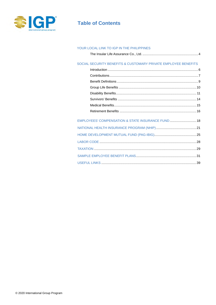

# **Table of Contents**

#### YOUR LOCAL LINK TO IGP IN THE PHILIPPINES

|--|--|--|

#### SOCIAL SECURITY BENEFITS & CUSTOMARY PRIVATE EMPLOYEE BENEFITS

| EMPLOYEES' COMPENSATION & STATE INSURANCE FUND  18 |  |
|----------------------------------------------------|--|
|                                                    |  |
|                                                    |  |
|                                                    |  |
|                                                    |  |
|                                                    |  |
|                                                    |  |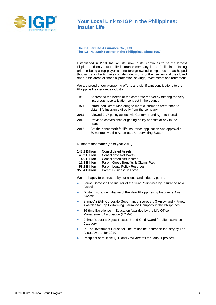

## **Your Local Link to IGP in the Philippines: Insular Life**

#### **The Insular Life Assurance Co., Ltd. The IGP Network Partner in the Philippines since 1967**

Established in 1910, Insular Life, now InLife, continues to be the largest Filipino, and only mutual life insurance company in the Philippines. Taking pride in being a top player among foreign-owned companies, it has helped thousands of clients make confident decisions for themselves and their loved ones in the areas of financial protection, savings, investments and retirement.

We are proud of our pioneering efforts and significant contributions to the Philippine life insurance industry.

- **1952** Addressed the needs of the corporate market by offering the very first group hospitalization contract in the country
- **1977** Introduced Direct Marketing to meet customer's preference to obtain life insurance directly from the company
- **2011** Allowed 24/7 policy access via Customer and Agents' Portals
- **2013** Provided convenience of getting policy benefits at any InLife branch
- **2015** Set the benchmark for life insurance application and approval at 30 minutes via the Automated Underwriting System

Numbers that matter (as of year 2019):

| 143.2 Billion | <b>Consolidated Assets</b> |
|---------------|----------------------------|
|---------------|----------------------------|

- 
- **4.9 Billion** Consolidated Net Income
- 11.1 **Billion** Parent Gross Benefits & Claims Paid 58.2 **Billion** Parent Legal Policy Reserves  **58.2 Billion** Parent Legal Policy Reserves
- **Parent Business in Force**

We are happy to be trusted by our clients and industry peers.

- 3-time Domestic Life Insurer of the Year Philippines by Insurance Asia Awards
- Digital Insurance Initiative of the Year Philippines by Insurance Asia Awards
- 2-time ASEAN Corporate Governance Scorecard 3-Arrow and 4-Arrow Awardee for Top Performing Insurance Company in the Philippines
- 16-time Excellence in Education Awardee by the Life Office Management Association (LOMA)
- 2-time Reader's Digest Trusted Brand Gold Award for Life Insurance **Category**
- 3<sup>rd</sup> Top Investment House for The Philippine Insurance Industry by The Asset Awards for 2019
- Recipient of multiple Quill and Anvil Awards for various projects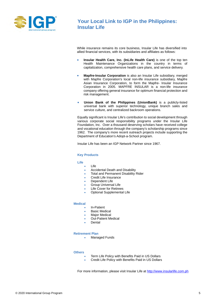

## **Your Local Link to IGP in the Philippines: Insular Life**

While insurance remains its core business, Insular Life has diversified into allied financial services, with its subsidiaries and affiliates as follows:

- **Insular Health Care, Inc. (InLife Health Care)** is one of the top ten Health Maintenance Organizations in the country in terms of capitalization, comprehensive health care plans, and service delivery.
- **Mapfre-Insular Corporation** is also an Insular Life subsidiary, merged with Mapfre Corporation's local non-life insurance subsidiary, Mapfre Asian Insurance Corporation, to form the Mapfre- Insular Insurance Corporation in 2005. MAPFRE INSULAR is a non-life insurance company offering general insurance for optimum financial protection and risk management.
- **Union Bank of the Philippines (UnionBank)** is a publicly-listed universal bank with superior technology, unique branch sales and service culture, and centralized backroom operations.

Equally significant is Insular Life's contribution to social development through various corporate social responsibility programs under the Insular Life Foundation, Inc. Over a thousand deserving scholars have received college and vocational education through the company's scholarship programs since 1962. The company's more recent outreach projects include supporting the Department of Education's Adopt-a-School program.

Insular Life has been an IGP Network Partner since 1967.

#### **Key Products**

#### **Life**

- Life
- Accidental Death and Disability
- Total and Permanent Disability Rider
- Credit Life Insurance
- Dependent Life
- Group Universal Life
- **Life Cover for Retirees**
- Optional Supplemental Life

#### **Medical**

- **In-Patient**
- **Basic Medical**
- Major Medical
- Out-Patient Medical
- **Dental**

#### **Retirement Plan**

• Managed Funds

#### **Others**

- Term Life Policy with Benefits Paid in US Dollars
- Credit Life Policy with Benefits Paid in US Dollars

For more information, please visit Insular Life a[t http://www.insularlife.com.ph](http://www.insularlife.com.ph/)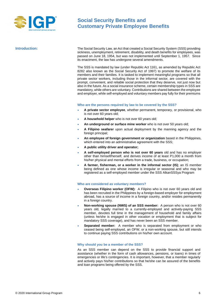

**Introduction:** The Social Security Law, an Act that created a Social Security System (SSS) providing sickness, unemployment, retirement, disability, and death benefits for employees, was passed on June 18, 1954, but was not implemented until September 1, 1957. Since its enactment, the law has undergone several amendments.

> The SSS is mandated by law (under Republic Act 1161, as amended by Republic Act 8282 also known as the Social Security Act of 1997) to promote the welfare of its members and their families. It is tasked to implement meaningful programs so that all private sector workers, including those in the informal sector, are covered with the prompt, convenient, and reliable social protection that they deserve, not just now but also in the future. As a social insurance scheme, certain membership types in SSS are mandatory, while others are voluntary. Contributions are shared between the employee and employer, while self-employed and voluntary members pay fully for their premiums

#### **Who are the persons required by law to be covered by the SSS?**

- **A private sector employee**, whether permanent, temporary, or provisional, who is not over 60 years old;
- **A household helper** who is not over 60 years old;
- **An underground or surface mine worker** who is not over 50 years old;
- **A Filipino seafarer** upon actual deployment by the manning agency and the foreign principal;
- **An employee of foreign government or organization** based in the Philippines, which entered into an administrative agreement with the SSS;
- **A public utility driver and operator;**
- **A self-employed person who is not over 60 years** old and has no employer other than himself/herself, and derives income of at least P1,000 a month from his/her physical and mental efforts from a trade, business, or occupation;
- **A farmer, fisherman, or a worker in the informal sector (IS)**; an IS member being defined as one whose income is irregular or seasonal and who may be registered as a self-employed member under the SSS AlkanSSSya Program

#### **Who are considered as voluntary members?**

- **Overseas Filipino worker (OFW):** A Filipino who is not over 60 years old and has been recruited in the Philippines by a foreign-based employer for employment abroad, has a source of income in a foreign country, and/or resides permanently in a foreign country.
- **Non-working spouse (NWS) of an SSS member:** A person who is not over 60 years old, legally married to a currently-employed and actively-paying SSS member, devotes full time in the management of household and family affairs (unless he/she is engaged in other vocation or employment that is subject for mandatory SSS coverage), and has never been an SSS member.
- **Separated member:** A member who is separated from employment or who ceased being self-employed, an OFW, or a non-working spouse, but still intends to continue paying SSS contributions on his/her own account.

#### **Why should you be a member of the SSS?**

As an SSS member can depend on the SSS to provide financial support and assistance (whether in the form of cash allowances, pensions, or loans) in times of emergencies or life's contingencies. It is important, however, that a member regularly and actively pays his/her contributions so that he/she can be assured of the benefits and loan programs being offered by the SSS.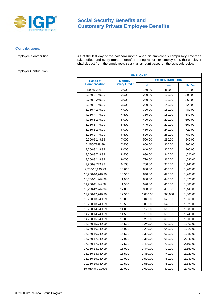

#### **Contributions:**

Employer Contribution:

Employee Contribution: As of the last day of the calendar month when an employee's compulsory coverage takes effect and every month thereafter during his or her employment, the employer shall deduct from the employee's salary an amount based on the schedule below.

| <b>EMPLOYED</b>                   |                        |          |         |              |
|-----------------------------------|------------------------|----------|---------|--------------|
| <b>Range of</b><br><b>Monthly</b> | <b>SS CONTRIBUTION</b> |          |         |              |
| <b>Compensation</b>               | <b>Salary Credit</b>   | ER       | EE      | <b>TOTAL</b> |
| <b>Below 2,250</b>                | 2,000                  | 160.00   | 80.00   | 240.00       |
| 2,250-2,749.99                    | 2,500                  | 200.00   | 100.00  | 300.00       |
| 2,750-3,249.99                    | 3,000                  | 240.00   | 120.00  | 360.00       |
| 3,250-3,749.99                    | 3,500                  | 280.00   | 140.00  | 420.00       |
| 3,750-4,249.99                    | 4,000                  | 320.00   | 160.00  | 480.00       |
| 4,250-4,749.99                    | 4,500                  | 360.00   | 180.00  | 540.00       |
| 4,750-5,249.99                    | 5,000                  | 400.00   | 200.00  | 600.00       |
| 5,250-5,749.99                    | 5,500                  | 440.00   | 220.00  | 660.00       |
| 5,750-6,249.99                    | 6,000                  | 480.00   | 240.00  | 720.00       |
| 6,250-7,749.99                    | 6,500                  | 520.00   | 260.00  | 780.00       |
| 6,750-7,249.99                    | 7,000                  | 560.00   | 280.00  | 840.00       |
| 7,250-7749.99                     | 7,500                  | 600.00   | 300.00  | 900.00       |
| 7,750-8,249.99                    | 8,000                  | 640.00   | 320.00  | 960.00       |
| 8,250-8,749.99                    | 8,500                  | 680.00   | 340.00  | 1,020.00     |
| 8,750-9,249.99                    | 9,000                  | 720.00   | 360.00  | 1,080.00     |
| 9,250-9,749.99                    | 9,500                  | 760.00   | 380.00  | 1,140.00     |
| 9,750-10,249.99                   | 10,000                 | 800.00   | 400.00  | 1,200.00     |
| 10,250-10,749.99                  | 10,500                 | 840.00   | 420.00  | 1,260.00     |
| 10,750-11,249.99                  | 11,000                 | 880.00   | 440.00  | 1,320.00     |
| 11,250-11,749.99                  | 11,500                 | 920.00   | 460.00  | 1,380.00     |
| 11,750-12,249.99                  | 12,000                 | 960.00   | 480.00  | 1,440.00     |
| 12,250-12,749.99                  | 12,500                 | 1,000.00 | 500,000 | 1,500.00     |
| 12,750-13,249.99                  | 13,000                 | 1,040.00 | 520.00  | 1,560.00     |
| 13,250-13,749.99                  | 13,500                 | 1,080.00 | 540.00  | 1,620.00     |
| 13,750-14,249.99                  | 14,000                 | 1,120.00 | 560.00  | 1,680.00     |
| 14,250-14,749.99                  | 14,500                 | 1,160.00 | 580.00  | 1,740.00     |
| 14,750-15,249.99                  | 15,000                 | 1,200.00 | 600.00  | 1,800.00     |
| 15,250-15,749.99                  | 15,500                 | 1,240.00 | 620.00  | 1,860.00     |
| 15,750-16,249.99                  | 16,000                 | 1,280.00 | 640.00  | 1,920.00     |
| 16,250-16,749.99                  | 16,500                 | 1,320.00 | 660.00  | 1,980.00     |
| 16,750-17,249.99                  | 17,000                 | 1,360.00 | 680.00  | 2.040.00     |
| 17,250-17,749.99                  | 17,500                 | 1,400.00 | 700.00  | 2,100.00     |
| 17,750-18,249.99                  | 18,000                 | 1,440.00 | 720.00  | 2,160.00     |
| 18,250-18,749.99                  | 18,500                 | 1,480.00 | 740.00  | 2,220.00     |
| 18,750-19,249.99                  | 19,000                 | 1,520.00 | 760.00  | 2,280.00     |
| 19,250-19,749.99                  | 19,500                 | 1,560.00 | 780.00  | 2,340.00     |
| 19,750 and above                  | 20,000                 | 1,600.00 | 800.00  | 2,400.00     |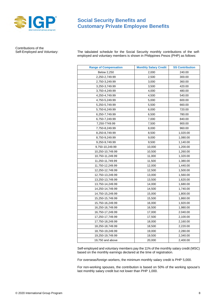

Contributions of the<br>Self-Employed and Voluntary:

The tabulated schedule for the Social Security monthly contributions of the selfemployed and voluntary members is shown in Philippines Pesos (PHP) as follows:

| <b>Range of Compensation</b> | <b>Monthly Salary Credit</b> | <b>SS Contribution</b> |
|------------------------------|------------------------------|------------------------|
| <b>Below 2,250</b>           | 2,000                        | 240.00                 |
| 2,250-2,749.99               | 2,500                        | 300.00                 |
| 2,750-3,249.99               | 3,000                        | 360.00                 |
| 3,250-3,749.99               | 3,500                        | 420.00                 |
| 3,750-4,249.99               | 4,000                        | 480.00                 |
| 4,250-4,749.99               | 4,500                        | 540.00                 |
| 4,750-5,249.99               | 5,000                        | 600.00                 |
| 5,250-5,749.99               | 5,500                        | 660.00                 |
| 5,750-6,249.99               | 6,000                        | 720.00                 |
| 6,250-7,749.99               | 6,500                        | 780.00                 |
| 6,750-7,249.99               | 7,000                        | 840.00                 |
| 7,250-7749.99                | 7,500                        | 900.00                 |
| 7,750-8,249.99               | 8,000                        | 960.00                 |
| 8,250-8,749.99               | 8,500                        | 1,020.00               |
| 8,750-9,249.99               | 9,000                        | 1,080.00               |
| 9,250-9,749.99               | 9,500                        | 1,140.00               |
| 9,750-10,249.99              | 10,000                       | 1,200.00               |
| 10,250-10,749.99             | 10,500                       | 1,260.00               |
| 10,750-11,249.99             | 11,000                       | 1,320.00               |
| 11,250-11,749.99             | 11,500                       | 1,380.00               |
| 11,750-12,249.99             | 12,000                       | 1,440.00               |
| 12,250-12,749.99             | 12,500                       | 1,500.00               |
| 12,750-13,249.99             | 13,000                       | 1,560.00               |
| 13,250-13,749.99             | 13,500                       | 1,620.00               |
| 13,750-14,249.99             | 14,000                       | 1,680.00               |
| 14,250-14,749.99             | 14,500                       | 1,740.00               |
| 14,750-15,249.99             | 15,000                       | 1,800.00               |
| 15,250-15,749.99             | 15,500                       | 1,860.00               |
| 15,750-16,249.99             | 16,000                       | 1,920.00               |
| 16,250-16,749.99             | 16,500                       | 1,980.00               |
| 16,750-17,249.99             | 17,000                       | 2.040.00               |
| 17,250-17,749.99             | 17,500                       | 2,100.00               |
| 17,750-18,249.99             | 18,000                       | 2,160.00               |
| 18,250-18,749.99             | 18,500                       | 2,220.00               |
| 18,750-19,249.99             | 19,000                       | 2,280.00               |
| 19,250-19,749.99             | 19,500                       | 2,340.00               |
| 19,750 and above             | 20,000                       | 2,400.00               |

Self-employed and voluntary members pay the 11% of the monthly salary credit (MSC) based on the monthly earnings declared at the time of registration.

For overseas/foreign workers, the minimum monthly salary credit is PHP 5,000.

For non-working spouses, the contribution is based on 50% of the working spouse's last monthly salary credit but not lower than PHP 1,000.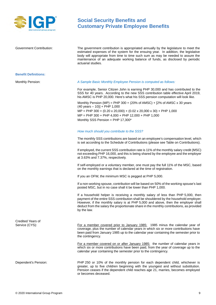

Government Contribution: The government contribution is appropriated annually by the legislature to meet the estimated expenses of the system for the ensuing year. In addition, the legislative body will appropriate from time to time such sum as may be needed to assure the maintenance of an adequate working balance of funds, as disclosed by periodic actuarial studies.

#### **Benefit Definitions:**

#### Monthly Pension: *A Sample Basic Monthly Employee Pension is computed as follows:*

For example, Senior Citizen John is earning PHP 30,000 and has contributed to the SSS for 40 years. According to the new SSS contribution table effective April 2019, his AMSC is PHP 20,000. Here's what his SSS pension computation will look like.

Monthly Pension (MP) = PHP 300 + (20% of AMSC) +  $[2%$  of AMSC x 30 years  $(40 \text{ years} - 10)] +$  PHP 1,000 MP = PHP 300 + (0.20 x 20,000) + (0.02 x 20,000 x 30) + PHP 1,000 MP = PHP 300 + PHP 4,000 + PHP 12,000 + PHP 1,000 Monthly SSS Pension = PHP 17,300\*

#### *How much should you contribute to the SSS?*

The monthly SSS contributions are based on an employee's compensation level, which is set according to the Schedule of Contributions (please see Table on Contributions).

If employed, the current SSS contribution rate is 11% of the monthly salary credit (MSC) not exceeding PHP 16,000, and this is being shared by the employee and the employer at 3.63% and 7.37%, respectively.

If self-employed or a voluntary member, one must pay the full 11% of the MSC, based on the monthly earnings that is declared at the time of registration.

If you an OFW, the minimum MSC is pegged at PHP 5,000.

If a non-working spouse, contribution will be based on 50% of the working spouse's last posted MSC, but in no case shall it be lower than PHP 1,000.

If a household helper is receiving a monthly salary of less than PHP 5,000, then payment of the entire SSS contribution shall be shouldered by the household employer. However, if the monthly salary is at PHP 5,000 and above, then the employer shall deduct from the salary the proportionate share in the monthly contributions, as provided by the law.

For a member covered prior to January 1985: 1985 minus the calendar year of coverage, plus the number of calendar years in which six or more contributions have been paid from January 1985 up to the calendar year containing the semester prior to the contingency.

For a member covered on or after January 1985: the number of calendar years in which six or more contributions have been paid, from the year of coverage up to the calendar year containing the semester prior to the contingency.

Dependent's Pension: PHP 250 or 10% of the monthly pension for each dependent child, whichever is greater, up to five children beginning with the youngest and without substitution. Pension ceases if the dependent child reaches age 21, marries, becomes employed or becomes deceased.

Credited Years of<br>Service (CYS):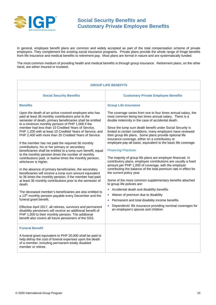

In general, employee benefit plans are common and widely accepted as part of the total compensation scheme of private employers. They complement the existing social insurance programs. Private plans provide the whole range of fringe benefits from life insurance and medical benefits to retirement pay. Most plans are formal in nature and are systematically funded.

The most common medium of providing health and medical benefits is through group insurance. Retirement plans, on the other hand, are either insured or trusteed.

| <b>GROUP LIFE BENEFITS</b>                                                                                                                                                                                                                                                                                                                                                                                                                                                                                                                                                                                                                                                                                                                                                                                                                                                                                                                                                                                                                                                                                                                                                                                                                                                                                                                                                                   |                                                                                                                                                                                                                                                                                                                                                                                                                                                                                                                                                                                                                                                                                                                                                                                                                                                                                                                                                                                                                                                                                                                                                               |  |
|----------------------------------------------------------------------------------------------------------------------------------------------------------------------------------------------------------------------------------------------------------------------------------------------------------------------------------------------------------------------------------------------------------------------------------------------------------------------------------------------------------------------------------------------------------------------------------------------------------------------------------------------------------------------------------------------------------------------------------------------------------------------------------------------------------------------------------------------------------------------------------------------------------------------------------------------------------------------------------------------------------------------------------------------------------------------------------------------------------------------------------------------------------------------------------------------------------------------------------------------------------------------------------------------------------------------------------------------------------------------------------------------|---------------------------------------------------------------------------------------------------------------------------------------------------------------------------------------------------------------------------------------------------------------------------------------------------------------------------------------------------------------------------------------------------------------------------------------------------------------------------------------------------------------------------------------------------------------------------------------------------------------------------------------------------------------------------------------------------------------------------------------------------------------------------------------------------------------------------------------------------------------------------------------------------------------------------------------------------------------------------------------------------------------------------------------------------------------------------------------------------------------------------------------------------------------|--|
| <b>Social Security Benefits</b>                                                                                                                                                                                                                                                                                                                                                                                                                                                                                                                                                                                                                                                                                                                                                                                                                                                                                                                                                                                                                                                                                                                                                                                                                                                                                                                                                              | <b>Customary Private Employee Benefits</b>                                                                                                                                                                                                                                                                                                                                                                                                                                                                                                                                                                                                                                                                                                                                                                                                                                                                                                                                                                                                                                                                                                                    |  |
| <b>Benefits</b>                                                                                                                                                                                                                                                                                                                                                                                                                                                                                                                                                                                                                                                                                                                                                                                                                                                                                                                                                                                                                                                                                                                                                                                                                                                                                                                                                                              | <b>Group Life Insurance</b>                                                                                                                                                                                                                                                                                                                                                                                                                                                                                                                                                                                                                                                                                                                                                                                                                                                                                                                                                                                                                                                                                                                                   |  |
| Upon the death of an active covered employee who has<br>paid at least 36 monthly contributions prior to the<br>semester of death, primary beneficiaries shall be entitled<br>to a minimum monthly pension of PHP 1,000 if the<br>member had less than 10 Credited Years of Service,<br>PHP 1,200 with at least 10 Credited Years of Service, and<br>PHP 2,400 with more than 20 Credited Years of Service.<br>If the member has not paid the required 36 monthly<br>contributions, his or her primary or secondary<br>beneficiaries shall be entitled to a lump sum benefit, equal<br>to the monthly pension times the number of monthly<br>contributions paid, or twelve times the monthly pension,<br>whichever is higher.<br>In the absence of primary beneficiaries, the secondary<br>beneficiaries will receive a lump sum amount equivalent<br>to 36 times the monthly pension, if the member had paid<br>at least 36 monthly contributions prior to the semester of<br>death.<br>The deceased member's beneficiaries are also entitled to<br>a 13 <sup>th</sup> monthly pension payable every December and the<br>funeral grant benefit.<br>Effective April 2017, all retirees, survivors and permanent<br>disability pensioners will receive an additional benefit of<br>PHP 1,000 to their monthly pension. The additional<br>benefit also covers all future pensioners of the SSS. | The coverage varies from one to four times annual salary, the<br>most common being two times annual salary. There is a<br>double indemnity in the case of accidental death.<br>Since the lump sum death benefit under Social Security is<br>limited to certain conditions, many employers have reviewed<br>their group life plans. Some plans provide optional life<br>insurance coverage, either on a contributory or<br>employee-pay-all basis, equivalent to the basic life coverage.<br><b>Financing Practices:</b><br>The majority of group life plans are employer-financed. In<br>contributory plans, employee contributions are usually a fixed<br>amount per PHP 1,000 of coverage, with the employer<br>contributing the balance of the total premium rate in effect for<br>the current policy year.<br>Some of the more common supplementary benefits attached<br>to group life policies are:<br>Accidental death and disability benefits<br>Waiver of premium due to disability<br>Permanent and total disability income benefits<br>Dependents' life insurance providing nominal coverages for<br>$\bullet$<br>an employee's spouse and children |  |
| <b>Funeral Benefit</b><br>A funeral grant equivalent to PHP 20,000 shall be paid to<br>help defray the cost of funeral expenses upon the death<br>of a member, including permanent totally disabled<br>member or retiree.                                                                                                                                                                                                                                                                                                                                                                                                                                                                                                                                                                                                                                                                                                                                                                                                                                                                                                                                                                                                                                                                                                                                                                    |                                                                                                                                                                                                                                                                                                                                                                                                                                                                                                                                                                                                                                                                                                                                                                                                                                                                                                                                                                                                                                                                                                                                                               |  |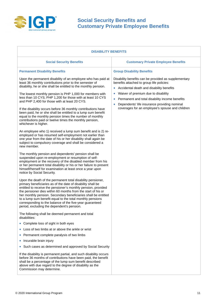

| <b>DISABILITY BENEFITS</b>                                                                                                                                                                                                                                                                                                                                                                                                                                                                                                                                                                                                                                                                                                                                                                                                                                                                                                                                                                                                                                                                                                                                                                                                                                                                                                                                                                                                                                                                                                                                                                                                                                                                                                                                                                                                                                                                                                                                                                                                                                                                                                                                                                                                                                                                                |                                                                                                                                                                                                                                                                                                                                                                                  |  |
|-----------------------------------------------------------------------------------------------------------------------------------------------------------------------------------------------------------------------------------------------------------------------------------------------------------------------------------------------------------------------------------------------------------------------------------------------------------------------------------------------------------------------------------------------------------------------------------------------------------------------------------------------------------------------------------------------------------------------------------------------------------------------------------------------------------------------------------------------------------------------------------------------------------------------------------------------------------------------------------------------------------------------------------------------------------------------------------------------------------------------------------------------------------------------------------------------------------------------------------------------------------------------------------------------------------------------------------------------------------------------------------------------------------------------------------------------------------------------------------------------------------------------------------------------------------------------------------------------------------------------------------------------------------------------------------------------------------------------------------------------------------------------------------------------------------------------------------------------------------------------------------------------------------------------------------------------------------------------------------------------------------------------------------------------------------------------------------------------------------------------------------------------------------------------------------------------------------------------------------------------------------------------------------------------------------|----------------------------------------------------------------------------------------------------------------------------------------------------------------------------------------------------------------------------------------------------------------------------------------------------------------------------------------------------------------------------------|--|
| <b>Social Security Benefits</b>                                                                                                                                                                                                                                                                                                                                                                                                                                                                                                                                                                                                                                                                                                                                                                                                                                                                                                                                                                                                                                                                                                                                                                                                                                                                                                                                                                                                                                                                                                                                                                                                                                                                                                                                                                                                                                                                                                                                                                                                                                                                                                                                                                                                                                                                           | <b>Customary Private Employee Benefits</b>                                                                                                                                                                                                                                                                                                                                       |  |
| <b>Permanent Disability Benefits</b>                                                                                                                                                                                                                                                                                                                                                                                                                                                                                                                                                                                                                                                                                                                                                                                                                                                                                                                                                                                                                                                                                                                                                                                                                                                                                                                                                                                                                                                                                                                                                                                                                                                                                                                                                                                                                                                                                                                                                                                                                                                                                                                                                                                                                                                                      | <b>Group Disability Benefits</b>                                                                                                                                                                                                                                                                                                                                                 |  |
| Upon the permanent disability of an employee who has paid at<br>least 36 monthly contributions prior to the semester of<br>disability, he or she shall be entitled to the monthly pension.<br>The lowest monthly pension is PHP 1,000 for members with<br>less than 10 CYS; PHP 1,200 for those with at least 10 CYS<br>and PHP 2,400 for those with at least 20 CYS.<br>If the disability occurs before 36 monthly contributions have<br>been paid, he or she shall be entitled to a lump sum benefit<br>equal to the monthly pension times the number of monthly<br>contributions paid or twelve times the monthly pension,<br>whichever is higher.<br>An employee who 1) received a lump sum benefit and is 2) re-<br>employed or has resumed self-employment not earlier than<br>one year from the date of his or her disability shall again be<br>subject to compulsory coverage and shall be considered a<br>new member.<br>The monthly pension and dependents' pension shall be<br>suspended upon re-employment or resumption of self-<br>employment or the recovery of the disabled member from his<br>or her permanent total disability or his or her failure to present<br>himself/herself for examination at least once a year upon<br>notice by Social Security.<br>Upon the death of the permanent total disability pensioner,<br>primary beneficiaries as of the date of disability shall be<br>entitled to receive the pensioner's monthly pension, provided<br>the pensioner dies within 60 months from the start of his or<br>her monthly pension. Secondary beneficiaries shall be entitled<br>to a lump sum benefit equal to the total monthly pensions<br>corresponding to the balance of the five-year guaranteed<br>period, excluding the dependent's pension.<br>The following shall be deemed permanent and total<br>disabilities:<br>• Complete loss of sight in both eyes<br>Loss of two limbs at or above the ankle or wrist<br>Permanent complete paralysis of two limbs<br>Incurable brain injury<br>Such cases as determined and approved by Social Security<br>$\bullet$<br>If the disability is permanent partial, and such disability occurs<br>before 36 months of contributions have been paid, the benefit<br>shall be a percentage of the lump sum benefit described | Disability benefits can be provided as supplementary<br>benefits attached to group life policies:<br>Accidental death and disability benefits<br>$\bullet$<br>Waiver of premium due to disability<br>$\bullet$<br>Permanent and total disability income benefits<br>Dependents' life insurance providing nominal<br>$\bullet$<br>coverages for an employee's spouse and children |  |
| above with due regard to the degree of disability as the<br>Commission may determine.                                                                                                                                                                                                                                                                                                                                                                                                                                                                                                                                                                                                                                                                                                                                                                                                                                                                                                                                                                                                                                                                                                                                                                                                                                                                                                                                                                                                                                                                                                                                                                                                                                                                                                                                                                                                                                                                                                                                                                                                                                                                                                                                                                                                                     |                                                                                                                                                                                                                                                                                                                                                                                  |  |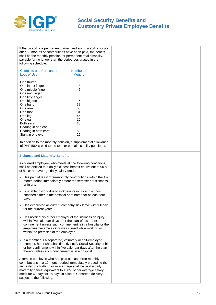

If the disability is permanent partial, and such disability occurs after 36 months of contributions have been paid, the benefit shall be the monthly pension for permanent total disability, payable for no longer than the period designated in the following schedule:

| <b>Complete and Permanent</b><br><b>Loss of Use</b> | Number of<br><b>Months</b> |
|-----------------------------------------------------|----------------------------|
| One thumb                                           | 10                         |
| One index finger                                    | 8                          |
| One middle finger                                   | 6                          |
| One ring finger                                     | 5                          |
| One little finger                                   | 3                          |
| One big toe                                         | 6                          |
| One hand                                            | 39                         |
| One arm                                             | 50                         |
| One foot                                            | 31                         |
| One leg                                             | 46                         |
| One ear                                             | 10                         |
| Both ears                                           | 20                         |
| Hearing in one ear                                  | 10                         |
| Hearing in both ears                                | 50                         |
| Sight in one eye                                    | 25                         |

In addition to the monthly pension, a supplemental allowance of PHP 500 is paid to the total or partial disability pensioner.

#### **Sickness and Maternity Benefits**

A covered employee, who meets all the following conditions, shall be entitled to a daily sickness benefit equivalent to 90% of his or her average daily salary credit:

- Has paid at least three-monthly contributions within the 12 month period immediately before the semester of sickness or injury;
- Is unable to work due to sickness or injury and is thus confined either in the hospital or at home for at least four days;
- Has exhausted all current company sick leave with full pay for the current year;
- Has notified his or her employer of the sickness or injury within five calendar days after the start of his or her confinement unless such confinement is in a hospital or the employee became sick or was injured while working or within the premises of the employer.
- If a member is a separated, voluntary or self-employed member, he or she shall directly notify Social Security of his or her confinement within five calendar days after the start thereof unless such confinement is in a hospital.

A female employee who has paid at least three-monthly contributions in a 12-month period immediately preceding the semester of childbirth or miscarriage shall be paid a daily maternity benefit equivalent to 100% of her average salary credit for 60 days or 78 days in case of Cesarean delivery subject to the following: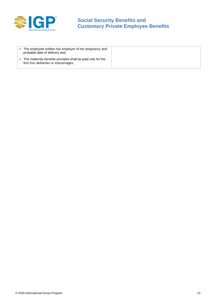

| The employee notifies her employer of her pregnancy and<br>probable date of delivery and,            |  |
|------------------------------------------------------------------------------------------------------|--|
| The maternity benefits provided shall be paid only for the<br>first four deliveries or miscarriages. |  |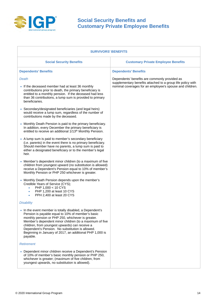

| <b>SURVIVORS' BENEFITS</b>                                                                                                                                                                                                                                                                                                                                                                                  |                                                                                                                                                                          |  |
|-------------------------------------------------------------------------------------------------------------------------------------------------------------------------------------------------------------------------------------------------------------------------------------------------------------------------------------------------------------------------------------------------------------|--------------------------------------------------------------------------------------------------------------------------------------------------------------------------|--|
| <b>Social Security Benefits</b>                                                                                                                                                                                                                                                                                                                                                                             | <b>Customary Private Employee Benefits</b>                                                                                                                               |  |
| <b>Dependents' Benefits</b>                                                                                                                                                                                                                                                                                                                                                                                 | <b>Dependents' Benefits</b>                                                                                                                                              |  |
| Death<br>• If the deceased member had at least 36 monthly<br>contributions prior to death, the primary beneficiary is<br>entitled to a monthly pension. If the deceased had less                                                                                                                                                                                                                            | Dependents' benefits are commonly provided as<br>supplementary benefits attached to a group life policy with<br>nominal coverages for an employee's spouse and children. |  |
| than 36 contributions, a lump sum is provided to primary<br>beneficiaries.                                                                                                                                                                                                                                                                                                                                  |                                                                                                                                                                          |  |
| • Secondary/designated beneficiaries (and legal heirs)<br>would receive a lump sum, regardless of the number of<br>contributions made by the deceased.                                                                                                                                                                                                                                                      |                                                                                                                                                                          |  |
| • Monthly Death Pension is paid to the primary beneficiary.<br>In addition, every December the primary beneficiary is<br>entitled to receive an additional 1/13 <sup>th</sup> Monthly Pension.                                                                                                                                                                                                              |                                                                                                                                                                          |  |
| • A lump sum is paid to member's secondary beneficiary<br>(i.e. parents) in the event there is no primary beneficiary.<br>Should member have no parents, a lump sum is paid to<br>either a designated beneficiary or to the member's legal<br>heir.                                                                                                                                                         |                                                                                                                                                                          |  |
| • Member's dependent minor children (to a maximum of five<br>children from youngest upward (no substitution is allowed)<br>receive a Dependent's Pension equal to 10% of member's<br>Monthly Pension or PHP 250 whichever is greater.                                                                                                                                                                       |                                                                                                                                                                          |  |
| • Monthly Death Pension depends upon the member's<br>Credible Years of Service (CYS);<br>PHP 1,000 < 10 CYS<br>$\bullet$<br>PHP 1,200 at least 10 CYS<br>٠<br>PPH 2,400 at least 20 CYS<br>$\bullet$                                                                                                                                                                                                        |                                                                                                                                                                          |  |
| <b>Disability</b>                                                                                                                                                                                                                                                                                                                                                                                           |                                                                                                                                                                          |  |
| • In the event member is totally disabled, a Dependent's<br>Pension is payable equal to 10% of member's basic<br>monthly pension or PHP 250, whichever is greater.<br>Member's dependent minor children (to a maximum of five<br>children, from youngest upwards) can receive a<br>Dependent's Pension. No substitution is allowed.<br>Beginning in January of 2017, an additional PHP 1,000 is<br>payable. |                                                                                                                                                                          |  |
| <b>Retirement</b>                                                                                                                                                                                                                                                                                                                                                                                           |                                                                                                                                                                          |  |
| • Dependent minor children receive a Dependent's Pension<br>of 10% of member's basic monthly pension or PHP 250,<br>whichever is greater; (maximum of five children, from<br>youngest upwards, no substitution is allowed).                                                                                                                                                                                 |                                                                                                                                                                          |  |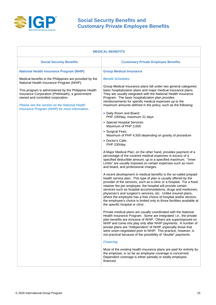

| <b>MEDICAL BENEFITS</b>                                                                                                                                                                                                                                                                                                                                   |                                                                                                                                                                                                                                                                                                                                                                                                                                                                                                                                                                                                                                                                                                                                                                                                                                                                                                                                                                                                                                                                                                                                                                                                                                                                                                                                                                                                                                                                                                                                                                                                                                                                                                                                                                                                                                                                                                                                                                                                                                                                                                                                                                                                            |  |
|-----------------------------------------------------------------------------------------------------------------------------------------------------------------------------------------------------------------------------------------------------------------------------------------------------------------------------------------------------------|------------------------------------------------------------------------------------------------------------------------------------------------------------------------------------------------------------------------------------------------------------------------------------------------------------------------------------------------------------------------------------------------------------------------------------------------------------------------------------------------------------------------------------------------------------------------------------------------------------------------------------------------------------------------------------------------------------------------------------------------------------------------------------------------------------------------------------------------------------------------------------------------------------------------------------------------------------------------------------------------------------------------------------------------------------------------------------------------------------------------------------------------------------------------------------------------------------------------------------------------------------------------------------------------------------------------------------------------------------------------------------------------------------------------------------------------------------------------------------------------------------------------------------------------------------------------------------------------------------------------------------------------------------------------------------------------------------------------------------------------------------------------------------------------------------------------------------------------------------------------------------------------------------------------------------------------------------------------------------------------------------------------------------------------------------------------------------------------------------------------------------------------------------------------------------------------------------|--|
| <b>Social Security Benefits</b>                                                                                                                                                                                                                                                                                                                           | <b>Customary Private Employee Benefits</b>                                                                                                                                                                                                                                                                                                                                                                                                                                                                                                                                                                                                                                                                                                                                                                                                                                                                                                                                                                                                                                                                                                                                                                                                                                                                                                                                                                                                                                                                                                                                                                                                                                                                                                                                                                                                                                                                                                                                                                                                                                                                                                                                                                 |  |
| <b>National Health Insurance Program (NHIP)</b>                                                                                                                                                                                                                                                                                                           | <b>Group Medical Insurance</b>                                                                                                                                                                                                                                                                                                                                                                                                                                                                                                                                                                                                                                                                                                                                                                                                                                                                                                                                                                                                                                                                                                                                                                                                                                                                                                                                                                                                                                                                                                                                                                                                                                                                                                                                                                                                                                                                                                                                                                                                                                                                                                                                                                             |  |
| Medical benefits in the Philippines are provided by the<br>National Health Insurance Program (NHIP).<br>This program is administered by the Philippine Health<br>Insurance Corporation (PhilHealth), a government<br>owned and controlled corporation.<br>Please see the section on the National Health<br>Insurance Program (NHIP) for more information. | <b>Benefit Schedules</b><br>Group Medical Insurance plans fall under two general categories:<br>basic hospitalization plans and major medical insurance plans.<br>They are usually integrated with the National Health Insurance<br>Program. The basic hospitalization plan provides<br>reimbursements for specific medical expenses up to the<br>maximum amounts defined in the policy, such as the following:<br>• Daily Room and Board:<br>PHP 100/day, maximum 31 days<br>• Special Hospital Services:<br>Maximum of PHP 3,000<br>• Surgical Fees:<br>Maximum of PHP 4,500 depending on gravity of procedure<br>• Doctor's Calls:<br>PHP 100/day<br>A Major Medical Plan, on the other hand, provides payment of a<br>percentage of the covered medical expenses in excess of a<br>specified deductible amount, up to a specified maximum. "Inner<br>Limits" are usually imposed on certain expenses such as room<br>and board, and professional charges.<br>A recent development in medical benefits is the so-called prepaid<br>health service plan. This type of plan is usually offered by the<br>provider of the services, such as a clinic or a hospital. For a fixed<br>retainer fee per employee, the hospital will provide certain<br>services such as hospital accommodations, drugs and medicines,<br>physician's and surgeon's services, etc. Unlike insured plans,<br>where the employee has a free choice of hospital and/or doctors,<br>the employee's choice is limited only to those facilities available at<br>the specific hospital or clinic.<br>Private medical plans are usually coordinated with the National<br>Health Insurance Program. Some are integrated; i.e., the private<br>plan benefits are inclusive of NHIP. Others are superimposed on<br>NHIP and come into play only after NHIP payments. A number of<br>private plans are "Independent" of NHIP, especially those that<br>were union-negotiated prior to NHIP. This practice, however, is<br>not practical because of the possibility of "double" payments.<br>Financing<br>Most of the existing health insurance plans are paid for entirely by<br>the employer, in so far as employee coverage is concerned. |  |
|                                                                                                                                                                                                                                                                                                                                                           | Dependent coverage is either partially or totally employee-<br>financed.                                                                                                                                                                                                                                                                                                                                                                                                                                                                                                                                                                                                                                                                                                                                                                                                                                                                                                                                                                                                                                                                                                                                                                                                                                                                                                                                                                                                                                                                                                                                                                                                                                                                                                                                                                                                                                                                                                                                                                                                                                                                                                                                   |  |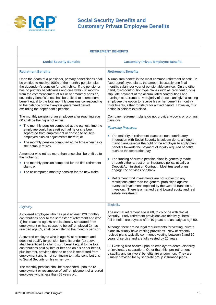

| <b>RETIREMENT BENEFITS</b>                                                                                                                                                                                                                                                                                                                                                                                                                                                                                                                                                                                                                                                                                                                                                                                                                                                                                                                     |                                                                                                                                                                                                                                                                                                                                                                                                                                                                                                                                                                                                                                                                                                                                                                                                                                                                                                                                                           |  |  |
|------------------------------------------------------------------------------------------------------------------------------------------------------------------------------------------------------------------------------------------------------------------------------------------------------------------------------------------------------------------------------------------------------------------------------------------------------------------------------------------------------------------------------------------------------------------------------------------------------------------------------------------------------------------------------------------------------------------------------------------------------------------------------------------------------------------------------------------------------------------------------------------------------------------------------------------------|-----------------------------------------------------------------------------------------------------------------------------------------------------------------------------------------------------------------------------------------------------------------------------------------------------------------------------------------------------------------------------------------------------------------------------------------------------------------------------------------------------------------------------------------------------------------------------------------------------------------------------------------------------------------------------------------------------------------------------------------------------------------------------------------------------------------------------------------------------------------------------------------------------------------------------------------------------------|--|--|
| <b>Social Security Benefits</b>                                                                                                                                                                                                                                                                                                                                                                                                                                                                                                                                                                                                                                                                                                                                                                                                                                                                                                                | <b>Customary Private Employee Benefits</b>                                                                                                                                                                                                                                                                                                                                                                                                                                                                                                                                                                                                                                                                                                                                                                                                                                                                                                                |  |  |
| <b>Retirement Benefits</b><br>Upon the death of a pensioner, primary beneficiaries shall<br>be entitled to receive 100% of the monthly pension plus<br>the dependent's pension for each child. If the pensioner<br>has no primary beneficiaries and dies within 60 months<br>from the commencement of his or her monthly pension,<br>secondary beneficiaries shall be entitled to a lump sum<br>benefit equal to the total monthly pensions corresponding<br>to the balance of the five-year guaranteed period,<br>excluding the dependent's pension.<br>The monthly pension of an employee after reaching age<br>60 shall be the higher of either:<br>The monthly pension computed at the earliest time the<br>employee could have retired had he or she been<br>separated from employment or ceased to be self-<br>employed plus all adjustments thereto; or<br>The monthly pension computed at the time when he or<br>she actually retires. | <b>Retirement Benefits</b><br>A lump sum benefit is the most common retirement benefit. In<br>fixed-benefit type plans, the amount is usually one final<br>month's salary per year of pensionable service. On the other<br>hand, fixed-contribution type plans (such as provident funds)<br>stipulate payment of the accumulated contributions and<br>earnings at retirement. A majority of these plans give a retiring<br>employee the option to receive his or her benefit in monthly<br>installments, either for life or for a fixed period. However, this<br>option is seldom exercised.<br>Company retirement plans do not provide widow's or orphans'<br>pensions.<br><b>Financing Practices:</b><br>The majority of retirement plans are non-contributory.<br>Integration with Social Security is seldom done, although<br>many plans reserve the right of the employer to apply plan<br>benefits towards the payment of legally required benefits |  |  |
| A member who retires more than once shall be entitled to<br>the higher of:<br>• The monthly pension computed for the first retirement<br>claim; or<br>The re-computed monthly pension for the new claim.                                                                                                                                                                                                                                                                                                                                                                                                                                                                                                                                                                                                                                                                                                                                       | such as the separation pay.<br>The funding of private pension plans is generally made<br>through either a trust or an insurance policy, usually a<br>Deposit Administration Contract. Most trusteed plans<br>engage the services of a bank.<br>Retirement fund investments are not subject to any<br>$\bullet$<br>restrictions other than the general prohibition against<br>overseas investment imposed by the Central Bank on all<br>investors. There is a marked trend toward equity and real<br>estate investment.                                                                                                                                                                                                                                                                                                                                                                                                                                    |  |  |
| Eligibility                                                                                                                                                                                                                                                                                                                                                                                                                                                                                                                                                                                                                                                                                                                                                                                                                                                                                                                                    | Eligibility                                                                                                                                                                                                                                                                                                                                                                                                                                                                                                                                                                                                                                                                                                                                                                                                                                                                                                                                               |  |  |
| A covered employee who has paid at least 120 monthly<br>contributions prior to the semester of retirement and who<br>1) has reached age 60 and is already separated from<br>employment or has ceased to be self-employed 2) has<br>reached age 65, shall be entitled to the monthly pension.<br>A covered employee who is age 60 at retirement and<br>does not qualify for pension benefits under (1) above,<br>shall be entitled to a lump sum benefit equal to the total<br>contributions paid by him or her and on his or her behalf,<br>plus interest, provided that he or she is separated from<br>employment and is not continuing to make contributions<br>to Social Security on his or her own.<br>The monthly pension shall be suspended upon the re-<br>employment or resumption of self-employment of a retired<br>employee who is less than 65 years old.                                                                          | The normal retirement age is 60, to coincide with Social<br>Security. Early retirement provisions are relatively liberal -<br>full benefits are payable after 10 years and as early as age 50.<br>Although there are no legal requirements for vesting, private<br>plans invariably have vesting provisions. New or recently<br>revised plans typically commence vesting between 5 and 10<br>years of service and are fully vested by 20 years.<br>Full vesting also occurs upon an employee's death, disability,<br>or involuntary separation. Other than this, pre-retirement<br>disability and survivors' benefits are uncommon. They are<br>usually provided for by separate group insurance plans.                                                                                                                                                                                                                                                   |  |  |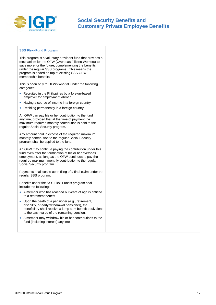

#### **SSS Flexi-Fund Program**

This program is a voluntary provident fund that provides a mechanism for the OFW (Overseas Filipino Workers) to save more for the future, complementing the benefits under the regular SSS programs. This means the program is added on top of existing SSS-OFW membership benefits.

This is open only to OFWs who fall under the following categories:

- Recruited in the Philippines by a foreign-based employer for employment abroad
- Having a source of income in a foreign country
- Residing permanently in a foreign country

An OFW can pay his or her contribution to the fund anytime, provided that at the time of payment the maximum required monthly contribution is paid to the regular Social Security program.

Any amount paid in excess of the required maximum monthly contribution to the regular Social Security program shall be applied to the fund.

An OFW may continue paying the contribution under this fund even after the termination of his or her overseas employment, as long as the OFW continues to pay the required maximum monthly contribution to the regular Social Security program.

Payments shall cease upon filing of a final claim under the regular SSS program.

Benefits under the SSS-Flexi Fund's program shall include the following:

- A member who has reached 60 years of age is entitled to a retirement benefit.
- Upon the death of a pensioner (e.g., retirement, disability, or early withdrawal pensioner), the beneficiary shall receive a lump sum benefit equivalent to the cash value of the remaining pension.
- A member may withdraw his or her contributions to the fund (including interest) anytime.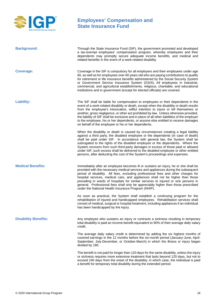

# **Employees' Compensation and State Insurance Fund**

| <b>Background:</b>          | Through the State Insurance Fund (SIF), the government promoted and developed<br>a tax-exempt employees' compensation program, whereby employees and their<br>dependents may promptly secure adequate income benefits, and medical and<br>related benefits in the event of a work-related disability.                                                                                                                                                                                                                                                                                                      |
|-----------------------------|------------------------------------------------------------------------------------------------------------------------------------------------------------------------------------------------------------------------------------------------------------------------------------------------------------------------------------------------------------------------------------------------------------------------------------------------------------------------------------------------------------------------------------------------------------------------------------------------------------|
| <b>Coverage:</b>            | Coverage in the SIF is compulsory for all employers and their employees under age<br>60, as well as for employees over 60 years old who are paying contributions to qualify<br>for retirement or life insurance benefits administered by the Social Security System<br>or Government Service Insurance System (GSIS). All employees in industrial,<br>commercial, and agricultural establishments, religious, charitable, and educational<br>institutions and in government (except for elected officials) are covered.                                                                                    |
| <b>Liability:</b>           | The SIF shall be liable for compensation to employees or their dependents in the<br>event of a work-related disability or death, except when the disability or death results<br>from the employee's intoxication, willful intention to injure or kill themselves or<br>another, gross negligence, or other act prohibited by law. Unless otherwise provided,<br>the liability of SIF shall be exclusive and in place of all other liabilities of the employer<br>to the employee, his or her dependents, or anyone else entitled to receive damages<br>on behalf of the employee or his or her dependents. |
|                             | When the disability or death is caused by circumstances creating a legal liability<br>against a third party, the disabled employee or the dependents (in case of death)<br>shall be paid under SIF. In accordance with general law, the System shall be<br>subrogated to the rights of the disabled employee or the dependents. Where the<br>System recovers from such third-party damages in excess of those paid or allowed<br>under SIF, such excess shall be delivered to the disabled employee or other entitled<br>persons, after deducting the cost of the System's proceedings and expenses.       |
| <b>Medical Benefits:</b>    | Immediately after an employee becomes ill or sustains an injury, he or she shall be<br>provided with the necessary medical services and appliances during the subsequent<br>period of disability. All fees, excluding professional fees and other charges for<br>hospital services, medical care, and appliances shall not be higher than those<br>prevailing in wards of hospitals for similar services to injured or sick persons in<br>general. Professional fees shall only be appreciably higher than those prescribed<br>under the National Health Insurance Program (NHIP).                         |
|                             | As soon as practical, the System shall establish a continuing program for the<br>rehabilitation of injured and handicapped employees. Rehabilitation services shall<br>consist of medical, surgical or hospital treatment, including appliances if an individual<br>has been handicapped by the injury.                                                                                                                                                                                                                                                                                                    |
| <b>Disability Benefits:</b> | Any employee who sustains an injury or contracts a sickness resulting in temporary<br>total disability is paid an income benefit equivalent to 90% of their average daily salary<br>credit.                                                                                                                                                                                                                                                                                                                                                                                                                |
|                             | The average daily salary credit is determined by adding the six highest months of<br>covered earnings in the 12 months before the six-month period (January-June, April-<br>September, July-December, or October-March) in which the illness or injury began<br>divided by 180.                                                                                                                                                                                                                                                                                                                            |
|                             | The benefit is not paid for longer than 120 days for the same disability, unless the injury<br>or sickness requires more extensive treatment that lasts beyond 120 days, but not to<br>exceed 240 days from the onset of the disability; in which case, the individual is paid<br>a benefit for temporary total disability during the extended period.                                                                                                                                                                                                                                                     |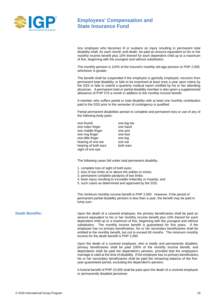

## **Employees' Compensation and State Insurance Fund**

Any employee who becomes ill or sustains an injury resulting in permanent total disability shall, for each month until death, be paid an amount equivalent to his or her monthly income benefit plus 10% thereof for each dependent child up to a maximum of five, beginning with the youngest and without substitution.

The monthly pension is 115% of the insured's monthly old-age pension or PHP 2,000, whichever is greater.

The benefit shall be suspended if the employee is gainfully employed, recovers from permanent total disability, or fails to be examined at least once a year upon notice by the SSS or fails to submit a quarterly medical report certified by his or her attending physician. A permanent total or partial disability member is also given a supplemental allowance of PHP 575 a month in addition to the monthly income benefit.

A member who suffers partial or total disability with at least one monthly contribution paid to the SSS prior to the semester of contingency is qualified.

Partial permanent disabilities pertain to complete and permanent loss or use of any of the following body parts:

| one thumb            | one big toe |
|----------------------|-------------|
| one index finger     | one hand    |
| one middle finger    | one arm     |
| one ring finger      | one foot    |
| one little finger    | one leg     |
| hearing of one ear   | one ear     |
| hearing of both ears | both ears   |
| sight of one eye     |             |

The following cases fall under total permanent disability:

- 1. complete loss of sight of both eyes;
- 2. loss of two limbs at or above the ankles or wrists;
- 3. permanent complete paralysis of two limbs:
- 4. brain injury resulting to incurable imbecility or insanity; and
- 5. such cases as determined and approved by the SSS.

The minimum monthly income benefit is PHP 2,000. However, if the period of permanent partial disability pension is less than a year, the benefit may be paid in lump sum.

**Death Benefits:** Upon the death of a covered employee, the primary beneficiaries shall be paid an amount equivalent to his or her monthly income benefit plus 10% thereof for each dependent child up to a maximum of five, beginning with the youngest and without substitution. The monthly income benefit is guaranteed for five years. If the employee has no primary beneficiaries, his or her secondary beneficiaries shall be entitled to the monthly benefit, but not to exceed 60 months. The minimum monthly income for the death benefit is PHP 2,000.

> Upon the death of a covered employee, who is totally and permanently disabled, primary beneficiaries shall be paid 100% of the monthly income benefit, and dependents shall be paid the dependent's pension, provided that the employee's marriage is valid at the time of disability. If the employee has no primary beneficiaries, his or her secondary beneficiaries shall be paid the remaining balance of the fiveyear guaranteed period, excluding the dependent's pension.

> A funeral benefit of PHP 10,000 shall be paid upon the death of a covered employee or permanently disabled pensioner.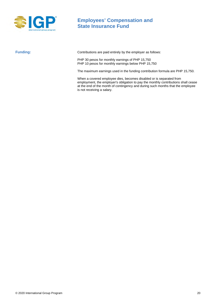

# **Employees' Compensation and State Insurance Fund**

**Funding:** Contributions are paid entirely by the employer as follows:

PHP 30 pesos for monthly earnings of PHP 15,750 PHP 10 pesos for monthly earnings below PHP 15,750

The maximum earnings used in the funding contribution formula are PHP 15,750.

When a covered employee dies, becomes disabled or is separated from employment, the employer's obligation to pay the monthly contributions shall cease at the end of the month of contingency and during such months that the employee is not receiving a salary.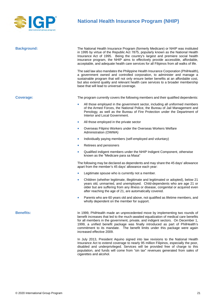

# **National Health Insurance Program (NHIP)**

| <b>Background:</b> | The National Health Insurance Program (formerly Medicare) or NHIP was instituted<br>in 1995 by virtue of the Republic Act 7875, popularly known as the National Health<br>Insurance Act of 1995. Being the country's largest and premiere social health<br>insurance program, the NHIP aims to effectively provide accessible, affordable,<br>acceptable, and adequate health care services for all Filipinos from all walks of life.                  |  |  |
|--------------------|--------------------------------------------------------------------------------------------------------------------------------------------------------------------------------------------------------------------------------------------------------------------------------------------------------------------------------------------------------------------------------------------------------------------------------------------------------|--|--|
|                    | The said law also mandates the Philippine Health Insurance Corporation (PhilHealth),<br>a government owned and controlled corporation, to administer and manage a<br>sustainable program that will not only ensure better benefits at an affordable cost,<br>but also extend quality and relevant health care services to a broader membership<br>base that will lead to universal coverage.                                                           |  |  |
| <b>Coverage:</b>   | The program currently covers the following members and their qualified dependents:                                                                                                                                                                                                                                                                                                                                                                     |  |  |
|                    | All those employed in the government sector, including all uniformed members<br>$\bullet$<br>of the Armed Forces, the National Police, the Bureau of Jail Management and<br>Penology, as well as the Bureau of Fire Protection under the Department of<br>Interior and Local Government.                                                                                                                                                               |  |  |
|                    | All those employed in the private sector<br>$\bullet$                                                                                                                                                                                                                                                                                                                                                                                                  |  |  |
|                    | Overseas Filipino Workers under the Overseas Workers Welfare<br>$\bullet$<br>Administration (OWWA)                                                                                                                                                                                                                                                                                                                                                     |  |  |
|                    | Individually paying members (self-employed and voluntary)<br>$\bullet$                                                                                                                                                                                                                                                                                                                                                                                 |  |  |
|                    | Retirees and pensioners<br>$\bullet$                                                                                                                                                                                                                                                                                                                                                                                                                   |  |  |
|                    | Qualified indigent members under the NHIP Indigent Component, otherwise<br>$\bullet$<br>known as the "Medicare para sa Masa"                                                                                                                                                                                                                                                                                                                           |  |  |
|                    | The following may be declared as dependents and may share the 45 days' allowance<br>apart from the member's 45 days' allowance each year:                                                                                                                                                                                                                                                                                                              |  |  |
|                    | Legitimate spouse who is currently not a member.<br>$\bullet$                                                                                                                                                                                                                                                                                                                                                                                          |  |  |
|                    | Children (whether legitimate, illegitimate and legitimated or adopted), below 21<br>$\bullet$<br>years old, unmarried, and unemployed. Child-dependents who are age 21 or<br>older but are suffering from any illness or disease, congenital or acquired even<br>after reaching the age of 21, are automatically covered.                                                                                                                              |  |  |
|                    | Parents who are 60 years old and above, not qualified as lifetime members, and<br>wholly dependent on the member for support.                                                                                                                                                                                                                                                                                                                          |  |  |
| <b>Benefits:</b>   | In 1999, PhilHealth made an unprecedented move by implementing two rounds of<br>benefit increases that led to the much-awaited equalization of medical care benefits<br>for all members in the government, private, and indigent sectors. On December 1,<br>1999, a unified benefit package was finally introduced as part of PhilHealth's<br>commitment to its mandate. The benefit limits under this package were again<br>increased effective 2009. |  |  |
|                    | In July 2013, President Aquino signed into law revisions to the National Health<br>Insurance Act to extend coverage to nearly 95 million Filipinos, especially the poor,<br>disabled and underprivileged. Services will be provided free of charge to this                                                                                                                                                                                             |  |  |

cigarettes and alcohol.

population, and funds will come from "sin tax" revenues generated from sales of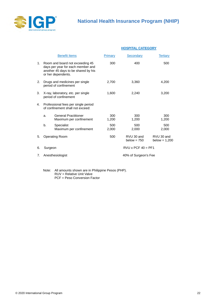

|    |         |                                                                                                                                   | <b>HOSPITAL CATEGORY</b>  |                             |                               |
|----|---------|-----------------------------------------------------------------------------------------------------------------------------------|---------------------------|-----------------------------|-------------------------------|
|    |         | <b>Benefit Items</b>                                                                                                              | Primary                   | <b>Secondary</b>            | <b>Tertiary</b>               |
| 1. |         | Room and board not exceeding 45<br>days per year for each member and<br>another 45 days to be shared by his<br>or her dependents. | 300                       | 400                         | 500                           |
| 2. |         | Drugs and medicines per single<br>period of confinement                                                                           | 2,700                     | 3,360                       | 4,200                         |
| 3. |         | X-ray, laboratory, etc. per single<br>period of confinement                                                                       | 1,600                     | 2,240                       | 3,200                         |
| 4. |         | Professional fees per single period<br>of confinement shall not exceed:                                                           |                           |                             |                               |
|    | a.      | <b>General Practitioner</b><br>Maximum per confinement                                                                            | 300<br>1,200              | 300<br>1,200                | 300<br>1,200                  |
|    | b.      | Specialist<br>Maximum per confinement                                                                                             | 500<br>2,000              | 500<br>2,000                | 500<br>2,000                  |
| 5. |         | <b>Operating Room</b>                                                                                                             | 500                       | RVU 30 and<br>below = $750$ | RVU 30 and<br>below = $1,200$ |
| 6. | Surgeon |                                                                                                                                   | $RVU \times PCF 40 = PF1$ |                             |                               |
| 7. |         | Anesthesiologist                                                                                                                  | 40% of Surgeon's Fee      |                             |                               |

Note: All amounts shown are in Philippine Pesos (PHP). RUV = Relative Unit Valve PCF = Peso Conversion Factor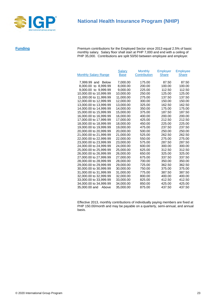

# **National Health Insurance Program (NHIP)**

**Funding** Premium contributions for the Employed Sector since 2013 equal 2.5% of basic monthly salary. Salary floor shall start at PHP 7,000 and end with a ceiling of PHP 35,000. Contributions are split 50/50 between employee and employer.

|                              | <b>Salary</b> | <b>Monthly</b> | Employer     | <b>Employee</b> |
|------------------------------|---------------|----------------|--------------|-----------------|
| <b>Monthly Salary Range</b>  | <b>Base</b>   | Contribution   | <b>Share</b> | <b>Share</b>    |
| 7,999.99 and<br><b>Below</b> | 7,000.00      | 175.00         | 87.50        | 87.50           |
| 8,000.00 to 8,999.99         | 8,000.00      | 200.00         | 100.00       | 100.00          |
| 9,000.00 to 9,999.99         | 9,000.00      | 225.00         | 112.50       | 112.50          |
| 10,000.00 to 10,999.99       | 10.000.00     | 250.00         | 125.00       | 125.00          |
| 11,000.00 to 11,999.99       | 11,000.00     | 275.00         | 137.50       | 137.50          |
| 12,000.00 to 12,999.99       | 12,000.00     | 300.00         | 150.00       | 150.00          |
| 13,000.00 to 13,999.99       | 13,000.00     | 325.00         | 162.50       | 162.50          |
| 14,000,00 to 14,999.99       | 14.000.00     | 350.00         | 175.00       | 175.00          |
| 15,000.00 to 15,999.99       | 15,000.00     | 375.00         | 187.50       | 187.50          |
| 16,000.00 to 16,999.99       | 16,000.00     | 400.00         | 200.00       | 200.00          |
| 17,000.00 to 17,999.99       | 17,000.00     | 425.00         | 212.50       | 212.50          |
| 18,000.00 to 18,999.99       | 18,000.00     | 450.00         | 225.00       | 225.00          |
| 19,000.00 to 19,999.99       | 19,000.00     | 475.00         | 237.50       | 237.50          |
| 20,000.00 to 20,999.99       | 20,000.00     | 500.00         | 250.00       | 250.00          |
| 21,000.00 to 21,999.99       | 21.000.00     | 525.00         | 262.50       | 262.50          |
| 22,000.00 to 22,999.99       | 22,000.00     | 550.00         | 275.00       | 275.00          |
| 23,000.00 to 23,999.99       | 23,000.00     | 575.00         | 287.50       | 287.50          |
| 24,000.00 to 24,999.99       | 24,000.00     | 600.00         | 300.00       | 300.00          |
| 25,000.00 to 25,999.99       | 25,000.00     | 625.00         | 312.50       | 312.50          |
| 26,000.00 to 26,999.99       | 26,000.00     | 650.00         | 325.00       | 325.00          |
| 27,000.00 to 27,999.99       | 27,000.00     | 675.00         | 337.50       | 337.50          |
| 28,000.00 to 28,999.99       | 28.000.00     | 700.00         | 350.00       | 350.00          |
| 29,000.00 to 29,999.99       | 29.000.00     | 725.00         | 362.50       | 362.50          |
| 30,000.00 to 30,999.99       | 30,000.00     | 750.00         | 375.00       | 375.00          |
| 31,000.00 to 31,999.99       | 31,000.00     | 775.00         | 387.50       | 387.50          |
| 32,000.00 to 32,999.99       | 32,000.00     | 800.00         | 400.00       | 400.00          |
| 33,000.00 to 33,999.99       | 33,000.00     | 825.00         | 412.50       | 412.50          |
| 34,000.00 to 34,999.99       | 34,000.00     | 850.00         | 425.00       | 425.00          |
| 35,000.00 and Above          | 35.000.00     | 875.00         | 437.50       | 437.50          |

Effective 2013, monthly contributions of individually paying members are fixed at PHP 150.00/month and may be payable on a quarterly, semi-annual, and annual basis.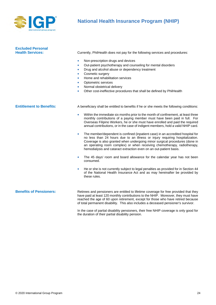

# **National Health Insurance Program (NHIP)**

| <b>Excluded Personal</b><br><b>Health Services:</b> | Currently, PhilHealth does not pay for the following services and procedures:<br>Non-prescription drugs and devices<br>$\bullet$<br>Out-patient psychotherapy and counseling for mental disorders<br>$\bullet$<br>Drug and alcohol abuse or dependency treatment<br>$\bullet$<br>Cosmetic surgery<br>$\bullet$<br>Home and rehabilitation services<br>$\bullet$<br>Optometric services<br>$\bullet$<br>Normal obstetrical delivery<br>$\bullet$<br>Other cost-ineffective procedures that shall be defined by PhilHealth<br>$\bullet$                                                                                                                                                                                                                                                                                                                                                                                                                                                                                                                                                                                                                                  |
|-----------------------------------------------------|------------------------------------------------------------------------------------------------------------------------------------------------------------------------------------------------------------------------------------------------------------------------------------------------------------------------------------------------------------------------------------------------------------------------------------------------------------------------------------------------------------------------------------------------------------------------------------------------------------------------------------------------------------------------------------------------------------------------------------------------------------------------------------------------------------------------------------------------------------------------------------------------------------------------------------------------------------------------------------------------------------------------------------------------------------------------------------------------------------------------------------------------------------------------|
| <b>Entitlement to Benefits:</b>                     | A beneficiary shall be entitled to benefits if he or she meets the following conditions:<br>Within the immediate six months prior to the month of confinement, at least three<br>$\bullet$<br>monthly contributions of a paying member must have been paid in full. For<br>Overseas Filipino Workers, he or she must have enrolled and paid the required<br>annual contributions, or in the case of indigent members, hold a valid NHIP card.<br>The member/dependent is confined (inpatient case) in an accredited hospital for<br>$\bullet$<br>no less than 24 hours due to an illness or injury requiring hospitalization.<br>Coverage is also granted when undergoing minor surgical procedures (done in<br>an operating room complex) or when receiving chemotherapy, radiotherapy,<br>hemodialysis and cataract extraction even on an out-patient basis.<br>The 45 days' room and board allowance for the calendar year has not been<br>$\bullet$<br>consumed.<br>He or she is not currently subject to legal penalties as provided for in Section 44<br>$\bullet$<br>of the National Health Insurance Act and as may hereinafter be provided by<br>these rules. |
| <b>Benefits of Pensioners:</b>                      | Retirees and pensioners are entitled to lifetime coverage for free provided that they<br>have paid at least 120 monthly contributions to the NHIP. Moreover, they must have<br>reached the age of 60 upon retirement, except for those who have retired because<br>of total permanent disability. This also includes a deceased pensioner's survivor.                                                                                                                                                                                                                                                                                                                                                                                                                                                                                                                                                                                                                                                                                                                                                                                                                  |

In the case of partial disability pensioners, their free NHIP coverage is only good for the duration of their partial disability pension.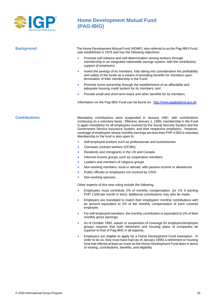

# **Home Development Mutual Fund (PAG-IBIG)**

**Background:** The Home Development Mutual Fund (HDMF), also referred to as the Pag-IBIG Fund, was established in 1979 and has the following objectives:

- Promote self-reliance and self-determination among workers through membership in an integrated nationwide savings system, with the contributory support of employers;
- Invest the savings of its members, fully taking into consideration the profitability and safety of the funds as a means of providing benefits for members upon termination of their membership in the Fund;
- Promote home ownership through the establishment of an affordable and adequate housing credit system for its members; and
- Provide small and short-term loans and other benefits for its members.

Information on the Pag-IBIG Fund can be found on: [http://www.pagibigfund.gov.ph](http://www.pagibigfund.gov.ph/)

**Contributions:** Mandatory contributions were suspended in January 1987, with contributions continuing on a voluntary basis. Effective January 1, 1995, membership in the Fund is again mandatory for all employees covered by the Social Security System and the Government Service Insurance System, and their respective employers. However, coverage of employees whose monthly earnings are less than PHP 4,000 is voluntary. Membership to the fund is also open to:

- Self-employed workers such as professionals and businessmen
- Overseas contract workers (OCWs)
- Residents and immigrants in the US and Canada
- Informal income groups such as cooperative members
- Leaders and members of religious groups
- Non-working members, local or abroad, with passive income or allowances
- Public officials or employees not covered by GSIS
- Non-working spouses

Other aspects of this new ruling include the following:

- Employees must contribute 2% of monthly compensation, (or 1% if earning PHP 1,500 per month or less); additional contributions may also be made.
- Employers are mandated to match their employees' monthly contributions with an amount equivalent to 2% of the monthly compensation of each covered employee.
- For self-employed members, the monthly contribution is equivalent to 2% of their monthly gross earnings.
- As of October 1995, waiver or suspension of coverage for employers/employee groups requires that both retirement and housing plans of companies be superior to that of Pag-IBIG in all aspects.
- Employers are eligible to apply for a Home Development Fund exemption. In order to do so, they must have had (as of January 1995) a retirement or housing fund that offered at least as much as the Home Development Fund does in terms of vesting, contributions, benefits, and eligibility.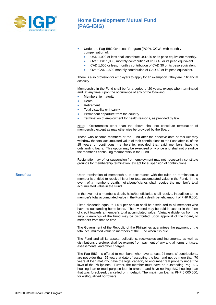

# **Home Development Mutual Fund (PAG-IBIG)**

- Under the Pag-IBIG Overseas Program (POP), OCWs with monthly compensation of:
	- USD 1,000 or less shall contribute USD 20 or its peso equivalent monthly.
	- Over USD 1,000, monthly contribution of USD 40 or its peso equivalent.
	- CAD 1,500 or less, monthly contribution of CAD 30 or its peso equivalent.
	- Over CAD 1,500 monthly contribution of CAD 60 or its peso equivalent.

There is also provision for employers to apply for an exemption if they are in financial difficulty.

Membership in the Fund shall be for a period of 20 years, except when terminated and, at any time, upon the occurrence of any of the following:

- Membership maturity
- Death
- Retirement
- Total disability or insanity
- Permanent departure from the country
- Termination of employment for health reasons, as provided by law

Note: Occurrences other than the above shall not constitute termination of membership except as may otherwise be provided by the Board.

Those who become members of the Fund after the effective date of this Act may withdraw the total accumulated value of their contributions to the Fund after 10 of the 15 years of continuous membership, provided that said members have no outstanding loans. This option may be exercised only once and shall not prejudice the member's continuing membership in the Fund.

Resignation, lay-off or suspension from employment may not necessarily constitute grounds for membership termination, except for suspension of contributions.

**Benefits:** Upon termination of membership, in accordance with the rules on termination, a member is entitled to receive his or her total accumulated value in the Fund. In the event of a member's death, heirs/beneficiaries shall receive the member's total accumulated value in the Fund.

> In the event of a member's death, heirs/beneficiaries shall receive, in addition to the member's total accumulated value in the Fund, a death benefit amount of PHP 6,000.

> Fixed dividends equal to 7.5% per annum shall be distributed to all members who have no outstanding home loans. The dividend may be paid in cash or in the form of credit towards a member's total accumulated value. Variable dividends from the surplus earnings of the Fund may be distributed, upon approval of the Board, to members from time to time.

> The Government of the Republic of the Philippines guarantees the payment of the total accumulated value to members of the Fund when it is due.

> The Fund and all its assets, collections, receivables and increments, as well as distributions therefore, shall be exempt from payment of any and all forms of taxes, assessments, and other charges.

> The Pag-IBIG I is offered to members, who have at least 24 months' contributions, are not older than 65 years at date of accepting the loan and not be more than 70 years at loan maturity, have the legal capacity to encumber real property under the laws of the Philippines. Further, the member must have no outstanding Pag-IBIG housing loan or multi-purpose loan in arrears, and have no Pag-IBIG housing loan that was foreclosed, cancelled or in default. The maximum loan is PHP 6,000,000, for well-qualified borrowers.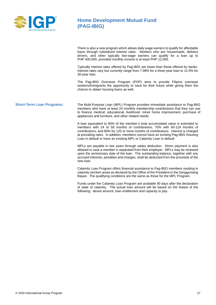

# **Home Development Mutual Fund (PAG-IBIG)**

There is also a new program which allows daily wage earners to qualify for affordable loans through subsidized interest rates. Workers who are housemaids, delivery drivers, and other typically low-wage earners can qualify for a loan up to PHP 400,000, provided monthly income is at least PHP 12,000.

Typically interest rates offered by Pag-IBIG are lower than those offered by banks. Interest rates vary but currently range from 7.98% for a three-year loan to 12.0% for 30-year loan.

The Pag-IBIG Overseas Program (POP) aims to provide Filipino overseas workers/immigrants the opportunity to save for their future while giving them the chance to obtain housing loans as well.

**Short-Term Loan Programs:** The Multi-Purpose Loan (MPL) Program provides immediate assistance to Pag-IBIG members who have at least 24 monthly membership contributions that they can use to finance medical, educational, livelihood, minor home improvement, purchase of appliances and furniture, and other related needs.

> A loan equivalent to 60% of the member's total accumulated value is extended to members with 24 to 59 months of contributions; 70% with 60-119 months of contributions, and 80% for 120 or more months of contributions. Interest is charged at prevailing rates. In addition, members cannot have an existing Pag-IBIG Housing Loan in default or have an existing MPL or Calamity Loan in default.

> MPLs are payable in two years through salary deduction. Direct payment is also allowed in case a member is separated from their employer. MPLs may be renewed upon the anniversary date of the loan. The outstanding balance, together with any accrued interests, penalties and charges, shall be deducted from the proceeds of the new loan.

> Calamity Loan Program offers financial assistance to Pag-IBIG members residing in calamity stricken areas as declared by the Office of the President or the Sangguniang Bayan. The qualifying conditions are the same as those for the MPL Program.

> Funds under the Calamity Loan Program are available 90 days after the declaration of state of calamity. The actual loan amount will be based on the lowest of the following: desire amount, loan entitlement and capacity to pay.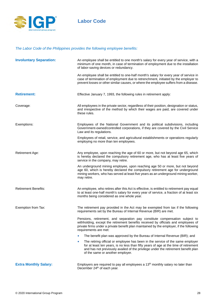

## *The Labor Code of the Philippines provides the following employee benefits:*

| <b>Involuntary Separation:</b> | An employee shall be entitled to one month's salary for every year of service, with a<br>minimum of one month, in case of termination of employment due to the installation<br>of labor-saving devices or redundancy.                                                                                        |  |
|--------------------------------|--------------------------------------------------------------------------------------------------------------------------------------------------------------------------------------------------------------------------------------------------------------------------------------------------------------|--|
|                                | An employee shall be entitled to one-half month's salary for every year of service in<br>case of termination of employment due to retrenchment, initiated by the employer to<br>prevent losses or other similar causes, or where the employee suffers from a disease.                                        |  |
| <b>Retirement:</b>             | Effective January 7, 1993, the following rules in retirement apply:                                                                                                                                                                                                                                          |  |
| Coverage:                      | All employees in the private sector, regardless of their position, designation or status,<br>and irrespective of the method by which their wages are paid, are covered under<br>these rules.                                                                                                                 |  |
| Exemptions:                    | Employees of the National Government and its political subdivisions, including<br>Government-owned/controlled corporations, if they are covered by the Civil Service<br>Law and its regulations.                                                                                                             |  |
|                                | Employees of retail, service, and agricultural establishments or operations regularly<br>employing no more than ten employees.                                                                                                                                                                               |  |
| Retirement Age:                | Any employee, upon reaching the age of 60 or more, but not beyond age 65, which<br>is hereby declared the compulsory retirement age, who has at least five years of<br>service in the company, may retire.                                                                                                   |  |
|                                | An underground mining employee, upon reaching age 50 or more, but not beyond<br>age 60, which is hereby declared the compulsory retirement age for underground<br>mining workers, who has served at least five years as an underground mining worker,<br>may retire.                                         |  |
| <b>Retirement Benefits:</b>    | An employee, who retires after this Act is effective, is entitled to retirement pay equal<br>to at least one-half month's salary for every year of service, a fraction of at least six<br>months being considered as one whole year.                                                                         |  |
| Exemption from Tax:            | The retirement pay provided in the Act may be exempted from tax if the following<br>requirements set by the Bureau of Internal Revenue (BIR) are met.                                                                                                                                                        |  |
|                                | Pensions, retirement, and separation pay constitute compensation subject to<br>withholding, except the retirement benefits received by officials and employees of<br>private firms under a private benefit plan maintained by the employer, if the following<br>requirements are met:                        |  |
|                                | The benefit plan was approved by the Bureau of Internal Revenue (BIR); and<br>$\bullet$                                                                                                                                                                                                                      |  |
|                                | The retiring official or employee has been in the service of the same employer<br>$\bullet$<br>for at least ten years, is no less than fifty years of age at the time of retirement<br>and has not previously availed of the privilege under the retirement benefit plan<br>of the same or another employer. |  |
| <b>Extra Monthly Salary:</b>   | Employers are required to pay all employees a 13 <sup>th</sup> monthly salary no later than<br>December 24 <sup>th</sup> of each year.                                                                                                                                                                       |  |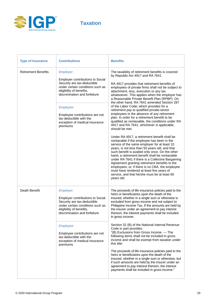

**Taxation**

| <b>Type of Insurance</b>   | <b>Contributions</b>                                                                                                                                                                                                                                                                                         | <b>Benefits</b>                                                                                                                                                                                                                                                                                                                                                                                                                                                                                                                                                                                                                                                                                                                                                                                                                                                                                                                                                                                                                                                                                                                                                                                                                                                             |
|----------------------------|--------------------------------------------------------------------------------------------------------------------------------------------------------------------------------------------------------------------------------------------------------------------------------------------------------------|-----------------------------------------------------------------------------------------------------------------------------------------------------------------------------------------------------------------------------------------------------------------------------------------------------------------------------------------------------------------------------------------------------------------------------------------------------------------------------------------------------------------------------------------------------------------------------------------------------------------------------------------------------------------------------------------------------------------------------------------------------------------------------------------------------------------------------------------------------------------------------------------------------------------------------------------------------------------------------------------------------------------------------------------------------------------------------------------------------------------------------------------------------------------------------------------------------------------------------------------------------------------------------|
| <b>Retirement Benefits</b> | Employer:<br><b>Employer contributions to Social</b><br>Security are tax-deductible<br>under certain conditions such as<br>eligibility of benefits,<br>discrimination and forfeiture<br>Employee:<br>Employee contributions are not<br>tax-deductible with the<br>exception of medical insurance<br>premiums | The taxability of retirement benefits is covered<br>by Republic Act 4917 and RA 7641.<br>RA 4917 provides that retirement benefits of<br>employees of private firms shall not be subject to<br>attachment, levy, execution or any tax<br>whatsoever. This applies when the employer has<br>a Reasonable Private Benefit Plan (RPBP). On<br>the other hand, RA 7641 amended Section 287<br>of the Labor Code; which provides for a<br>retirement pay to qualified private-sector<br>employees in the absence of any retirement<br>plan. In order for a retirement benefit to be<br>qualified as nontaxable, the conditions under RA<br>4917 and RA 7641, whichever is applicable,<br>should be met.<br>Under RA 4917, a retirement benefit shall be<br>nontaxable if the employee has been in the<br>service of the same employer for at least 10<br>years, is not less than 50 years old, and that<br>such benefit is availed only once. On the other<br>hand, a retirement benefit shall be nontaxable<br>under RA 7641 if there is a Collective Bargaining<br>Agreement granting retirement benefits to the<br>employees; or, if there is no CBA, the employee<br>must have rendered at least five years of<br>service, and that he/she must be at least 60<br>years old. |
| Death Benefit              | Employer:<br><b>Employer contributions to Social</b><br>Security are tax-deductible<br>under certain conditions such as<br>eligibility of benefits,<br>discrimination and forfeiture<br>Employee:<br>Employee contributions are not<br>tax-deductible with the<br>exception of medical insurance<br>premiums | The proceeds of life insurance policies paid to the<br>heirs or beneficiaries upon the death of the<br>insured, whether in a single sum or otherwise is<br>excluded from gross income and not subject to<br>Philippine Income Tax. If the amounts are held by<br>the insurer under an agreement to pay interest<br>thereon, the interest payments shall be included<br>in gross income.<br>Section 32 (B) of the National Internal Revenue<br>Code in part provides:<br>"(B) Exclusions from Gross Income. - The<br>following items shall not be included in gross<br>income and shall be exempt from taxation under<br>this title:<br>The proceeds of life insurance policies paid to the<br>heirs or beneficiaries upon the death of the<br>insured, whether in a single sum or otherwise, but<br>if such amounts are held by the insurer under an<br>agreement to pay interest thereon, the interest<br>payments shall be included in gross income."                                                                                                                                                                                                                                                                                                                     |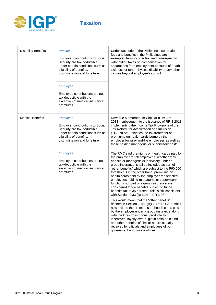

# **Taxation**

| <b>Disability Benefits</b> | Employer:<br><b>Employer contributions to Social</b><br>Security are tax-deductible<br>under certain conditions such as<br>eligibility of benefits,<br>discrimination and forfeiture | Under Tax code of the Philippines, separation<br>fees and benefits in the Philippines are<br>exempted from income tax, and consequently,<br>withholding taxes on compensation for<br>separations from employment because of death,<br>sickness or other physical disability or any other<br>causes beyond employee's control.                                                                                                                                                                                                                                                                     |
|----------------------------|--------------------------------------------------------------------------------------------------------------------------------------------------------------------------------------|---------------------------------------------------------------------------------------------------------------------------------------------------------------------------------------------------------------------------------------------------------------------------------------------------------------------------------------------------------------------------------------------------------------------------------------------------------------------------------------------------------------------------------------------------------------------------------------------------|
|                            | Employee:<br>Employee contributions are not<br>tax-deductible with the<br>exception of medical insurance<br>premiums                                                                 |                                                                                                                                                                                                                                                                                                                                                                                                                                                                                                                                                                                                   |
| <b>Medical Benefits</b>    | Employer:<br><b>Employer contributions to Social</b><br>Security are tax-deductible<br>under certain conditions such as<br>eligibility of benefits,<br>discrimination and forfeiture | Revenue Memorandum Circular (RMC) 50-<br>2018-subsequent to the issuance of RR 8-2018<br>implementing the Income Tax Provisions of the<br>Tax Reform for Acceleration and Inclusion<br>(TRAIN) Act-clarifies the tax treatment of<br>premiums on health cards borne by the<br>employer for rank-and-file employees as well as<br>those holding managerial or supervisory posts.                                                                                                                                                                                                                   |
|                            | Employee:<br>Employee contributions are not<br>tax-deductible with the<br>exception of medical insurance<br>premiums                                                                 | The RMC said premiums on health cards paid by<br>the employer for all employees, whether rank<br>and file or managerial/supervisory, under a<br>group insurance, shall be included as part of<br>"other benefits" which are subject to the P90,000<br>threshold. On the other hand, premiums on<br>health cards paid by the employer for selected<br>employees holding managerial or supervisory<br>functions not part of a group insurance are<br>considered fringe benefits subject to fringe<br>benefits tax of 35 percent. This is still consistent<br>with Section 2.33 (B) (10) of RR 3-98. |
|                            |                                                                                                                                                                                      | This would mean that the "other benefits"<br>defined in Section 2.78.1(B)(11) of RR 2-98 shall<br>now include the premiums on health cards paid<br>by the employer under a group insurance along<br>with the Christmas bonus, productivity<br>incentives, loyalty award, gift in cash or in kind,<br>and other benefits of similar nature actually<br>received by officials and employees of both<br>government and private offices.                                                                                                                                                              |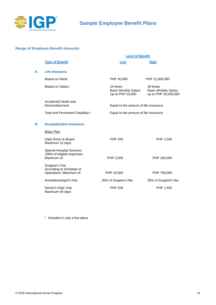

**A. Life Insurance**

#### <span id="page-30-0"></span>**Range of Employee Benefit Amounts:**

|    |                                                                              | <b>Level of Benefit</b>                                     |                                                                 |  |
|----|------------------------------------------------------------------------------|-------------------------------------------------------------|-----------------------------------------------------------------|--|
|    | <b>Type of Benefit</b>                                                       | Low                                                         | <b>High</b>                                                     |  |
| А. | Life Insurance                                                               |                                                             |                                                                 |  |
|    | Based on Rank:                                                               | PHP 30,000                                                  | PHP 11,000,000                                                  |  |
|    | Based on Salary:                                                             | 24 times<br><b>Basic Monthly Salary</b><br>Up to PHP 50,000 | 48 times<br><b>Basic Monthly Salary</b><br>up to PHP 30,000,000 |  |
|    | Accidental Death and<br>Dismemberment:                                       | Equal to the amount of life insurance                       |                                                                 |  |
|    | Total and Permanent Disability:*                                             | Equal to the amount of life insurance                       |                                                                 |  |
| В. | <b>Hospitalization Insurance</b>                                             |                                                             |                                                                 |  |
|    | <b>Basic Plan</b>                                                            |                                                             |                                                                 |  |
|    | Daily Room & Board:<br>Maximum 31 days                                       | <b>PHP 200</b>                                              | PHP 1,500                                                       |  |
|    | <b>Special Hospital Services</b><br>100% of eligible expenses<br>Maximum of: | PHP 2,000                                                   | PHP 100,000                                                     |  |
|    | Surgeon's Fee<br>According to Schedule of<br>Operations, Maximum of:         | PHP 10,000                                                  | PHP 700,000                                                     |  |
|    | Anesthesiologist's Fee:                                                      | 30% of Surgeon's fee                                        | 35% of Surgeon's fee                                            |  |
|    | Doctor's Daily Visit:<br>Maximum 45 days                                     | <b>PHP 200</b>                                              | PHP 1,500                                                       |  |

\* Included in only a few plans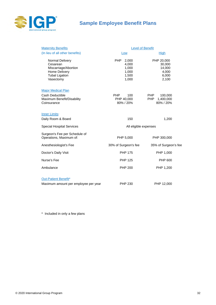

# **Sample Employee Benefit Plans**

| <b>Maternity Benefits</b>                                                                                  | <b>Level of Benefit</b>                                   |                                                               |
|------------------------------------------------------------------------------------------------------------|-----------------------------------------------------------|---------------------------------------------------------------|
| (In lieu of all other benefits)                                                                            | Low                                                       | <b>High</b>                                                   |
| Normal Delivery<br>Cesarean<br>Miscarriage/Abortion<br>Home Delivery<br><b>Tubal Ligation</b><br>Vasectomy | 2,000<br>PHP<br>4,000<br>1,000<br>1,000<br>1,500<br>1,000 | PHP 20,000<br>30,000<br>14,000<br>4,000<br>6,000<br>2,100     |
| <b>Major Medical Plan</b><br>Cash Deductible<br>Maximum Benefit/Disability<br>Coinsurance                  | <b>PHP</b><br>100<br>PHP 40,000<br>80% / 20%              | <b>PHP</b><br>100,000<br>1,400,000<br><b>PHP</b><br>80% / 20% |
| <b>Inner Limits:</b><br>Daily Room & Board                                                                 | 150                                                       | 1,200                                                         |
| <b>Special Hospital Services</b>                                                                           | All eligible expenses                                     |                                                               |
| Surgeon's Fee per Schedule of<br>Operations, Maximum of:                                                   | PHP 5,000                                                 | PHP 300,000                                                   |
| Anesthesiologist's Fee                                                                                     | 30% of Surgeon's fee                                      | 35% of Surgeon's fee                                          |
| Doctor's Daily Visit                                                                                       | <b>PHP 175</b>                                            | PHP 1,000                                                     |
| Nurse's Fee                                                                                                | <b>PHP 125</b>                                            | PHP 600                                                       |
| Ambulance                                                                                                  | <b>PHP 200</b>                                            | PHP 1,200                                                     |
| <b>Out-Patient Benefit*</b>                                                                                |                                                           |                                                               |
| Maximum amount per employee per year                                                                       | PHP 230                                                   | PHP 12,000                                                    |

\* Included in only a few plans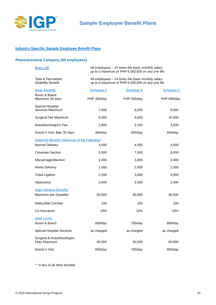

#### **Industry-Specific Sample Employee Benefit Plans**

## **Pharmaceutical Company (50 employees)**

| <b>Basic Life:</b>                            | All employees $-24$ times the basic monthly salary<br>up to a maximum of PHP 6,000,000 on any one life. |                                                                                                        |                   |
|-----------------------------------------------|---------------------------------------------------------------------------------------------------------|--------------------------------------------------------------------------------------------------------|-------------------|
| Total & Permanent<br>Disability Benefit:      |                                                                                                         | All employees – 24 times the basic monthly salary<br>up to a maximum of PHP 6,000,000 on any one life. |                   |
| <b>Basic Benefits:</b>                        | <b>Schedule A</b>                                                                                       | <b>Schedule B</b>                                                                                      | <b>Schedule C</b> |
| Room & Board<br>Maximum 30 days               | PHP 400/day                                                                                             | PHP 500/day                                                                                            | PHP 600/day       |
| Special Hospital<br>Services Maximum          | 7,000                                                                                                   | 8,000                                                                                                  | 9,000             |
| Surgical Fee Maximum                          | 8,000                                                                                                   | 9,000                                                                                                  | 10,000            |
| Anesthesiologist's Fee                        | 2,800                                                                                                   | 3,150                                                                                                  | 3,500             |
| Doctor's Visit, Max 30 days                   | $400$ /day                                                                                              | $500$ /day                                                                                             | $600$ /day        |
| Maternity Benefits Maximum of the Following:* |                                                                                                         |                                                                                                        |                   |
| Normal Delivery                               | 3,000                                                                                                   | 4,000                                                                                                  | 4,000             |
| Cesarean Section                              | 5,000                                                                                                   | 7,000                                                                                                  | 8,000             |
| Miscarriage/Abortion                          | 2,000                                                                                                   | 3,000                                                                                                  | 3,000             |
| Home Delivery                                 | 2,000                                                                                                   | 2,000                                                                                                  | 2,000             |
| <b>Tubal Ligation</b>                         | 2,500                                                                                                   | 3,000                                                                                                  | 3,000             |
| Vasectomy                                     | 2,000                                                                                                   | 2,000                                                                                                  | 2,000             |
| <b>Major Medical Benefits:</b>                |                                                                                                         |                                                                                                        |                   |
| Maximum per Disability                        | 60,000                                                                                                  | 85,000                                                                                                 | 90,000            |
| Deductible Corridor                           | 100                                                                                                     | 100                                                                                                    | 100               |
| Co-Insurance                                  | 10%                                                                                                     | 10%                                                                                                    | 10%               |
| <b>Inner Limits:</b>                          |                                                                                                         |                                                                                                        |                   |
| Room & Board                                  | 600/day                                                                                                 | 700/day                                                                                                | 800/day           |
| <b>Special Hospital Services</b>              | as charged                                                                                              | as charged                                                                                             | as charged        |
| Surgical & Anesthesiologist<br>Fees Maximum   | 40,000                                                                                                  | 50,000                                                                                                 | 60,000            |
| Doctor's Visit                                | 600/day                                                                                                 | 700/day                                                                                                | 800/day           |
|                                               |                                                                                                         |                                                                                                        |                   |

\* In lieu of all other benefits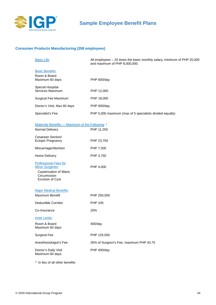

## **Consumer Products Manufacturing (358 employees)**

| <b>Basic Life:</b>                                        | All employees $-24$ times the basic monthly salary, minimum of PHP 25,000<br>and maximum of PHP 8,000,000. |
|-----------------------------------------------------------|------------------------------------------------------------------------------------------------------------|
| <b>Basic Benefits:</b><br>Room & Board<br>Maximum 60 days | <b>PHP 600/day</b>                                                                                         |
| Special Hospital<br>Services Maximum                      | PHP 12,000                                                                                                 |
| Surgical Fee Maximum                                      | PHP 18,000                                                                                                 |
| Doctor's Visit, Max 60 days                               | <b>PHP 600/day</b>                                                                                         |
| Specialist's Fee                                          | PHP 5,000 maximum (max of 5 specialists divided equally)                                                   |

| Maternity Benefits - Maximum of the Following: *                                                                                    |                                         |
|-------------------------------------------------------------------------------------------------------------------------------------|-----------------------------------------|
| Normal Delivery                                                                                                                     | PHP 11,250                              |
| Cesarean Section/<br><b>Ectopic Pregnancy</b>                                                                                       | PHP 23,750                              |
| Miscarriage/Abortion                                                                                                                | PHP 7,500                               |
| Home Delivery                                                                                                                       | PHP 3,750                               |
| <b>Professional Fees for</b><br><b>Minor Surgeries:</b><br><b>Cauterization of Warts</b><br>Circumcision<br><b>Excision of Cyst</b> | PHP 4,000                               |
| <b>Major Medical Benefits:</b><br>Maximum Benefit                                                                                   | PHP 250,000                             |
| Deductible Corridor                                                                                                                 | <b>PHP 100</b>                          |
| Co-Insurance                                                                                                                        | 20%                                     |
| <b>Inner Limits:</b>                                                                                                                |                                         |
| Room & Board<br>Maximum 60 days                                                                                                     | $400$ /day                              |
| <b>Surgical Fee</b>                                                                                                                 | PHP 125,000                             |
| Anesthesiologist's Fee                                                                                                              | 35% of Surgeon's Fee, maximum PHP 43,75 |
| Doctor's Daily Visit<br>Maximum 60 days                                                                                             | PHP 400/day                             |
|                                                                                                                                     |                                         |

\* In lieu of all other benefits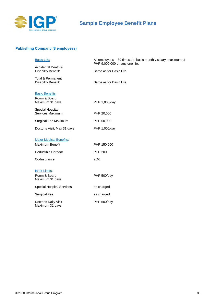

# **Sample Employee Benefit Plans**

## **Publishing Company (8 employees)**

| <b>Basic Life:</b>                                        | All employees - 39 times the basic monthly salary, maximum of<br>PHP 9,000,000 on any one life. |
|-----------------------------------------------------------|-------------------------------------------------------------------------------------------------|
| <b>Accidental Death &amp;</b><br>Disability Benefit:      | Same as for Basic Life                                                                          |
| <b>Total &amp; Permanent</b><br>Disability Benefit:       | Same as for Basic Life                                                                          |
| <b>Basic Benefits:</b><br>Room & Board<br>Maximum 31 days | PHP 1,000/day                                                                                   |
| Special Hospital<br>Services Maximum                      | PHP 20,000                                                                                      |
| Surgical Fee Maximum                                      | PHP 50,000                                                                                      |
| Doctor's Visit, Max 31 days                               | PHP 1,000/day                                                                                   |
| <b>Major Medical Benefits:</b>                            |                                                                                                 |
| Maximum Benefit                                           | PHP 150,000                                                                                     |
| Deductible Corridor                                       | <b>PHP 200</b>                                                                                  |
| Co-Insurance                                              | 20%                                                                                             |
| <b>Inner Limits:</b><br>Room & Board<br>Maximum 31 days   | <b>PHP 500/day</b>                                                                              |
| <b>Special Hospital Services</b>                          | as charged                                                                                      |
| <b>Surgical Fee</b>                                       | as charged                                                                                      |
| Doctor's Daily Visit<br>Maximum 31 days                   | PHP 500/day                                                                                     |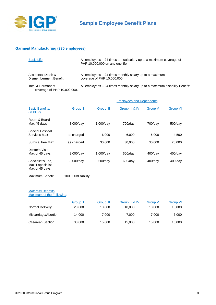

#### **Garment Manufacturing (335 employees)**

| <b>Basic Life:</b>                               | All employees $-24$ times annual salary up to a maximum coverage of<br>PHP 10,000,000 on any one life. |
|--------------------------------------------------|--------------------------------------------------------------------------------------------------------|
| Accidental Death &<br>Dismemberment Benefit:     | All employees $-24$ times monthly salary up to a maximum<br>coverage of PHP 10,000,000.                |
| Total & Permanent<br>coverage of PHP 10,000,000. | All employees – 24 times monthly salary up to a maximum disability Benefit:                            |

|                                                         |            |            | <b>Employees and Dependents</b> |            |            |
|---------------------------------------------------------|------------|------------|---------------------------------|------------|------------|
| <b>Basic Benefits:</b><br>(in PHP)                      | Group 1    | Group II   | Group III & IV                  | Group V    | Group VI   |
| Room & Board<br>Max 45 days                             | 8,000/day  | 1,000/day  | 700/day                         | $700$ /day | $500$ /day |
| Special Hospital<br>Services Max                        | as charged | 6,000      | 6,000                           | 6,000      | 4,500      |
| <b>Surgical Fee Max</b>                                 | as charged | 30,000     | 30,000                          | 30,000     | 20,000     |
| Doctor's Visit<br>Max of 45 days                        | 8,000/day  | 1,000/day  | 600/day                         | $400$ /day | $400$ /day |
| Specialist's Fee.<br>Max 1 specialist<br>Max of 45 days | 8,000/day  | $600$ /day | 600/day                         | $400$ /day | $400$ /day |

#### **Maternity Benefits**

Maximum of the Following:

Maximum Benefit 100,000/disability

| Normal Delivery         | Group<br>20,000 | Group II<br>10.000 | Group III & IV<br>10.000 | Group V<br>10.000 | <b>Group VI</b><br>10,000 |
|-------------------------|-----------------|--------------------|--------------------------|-------------------|---------------------------|
| Miscarriage/Abortion    | 14.000          | 7.000              | 7.000                    | 7.000             | 7,000                     |
| <b>Cesarean Section</b> | 30,000          | 15,000             | 15.000                   | 15.000            | 15,000                    |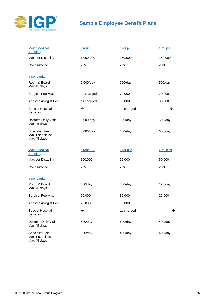

# **Sample Employee Benefit Plans**

| <b>Major Medical</b><br><b>Benefits:</b>                 | Group 1        | Group II       | <b>Group III</b> |
|----------------------------------------------------------|----------------|----------------|------------------|
| Max per Disability                                       | 1,000,000      | 150,000        | 150,000          |
| Co-Insurance                                             | 20%            | 20%            | 20%              |
| <b>Inner Limits:</b>                                     |                |                |                  |
| Room & Board<br>Max 45 days                              | 6,000/day      | 750/day        | 500/day          |
| Surgical Fee Max                                         | as charged     | 70,000         | 70,000           |
| Anesthesiologist Fee                                     | as charged     | 30,000         | 30,000           |
| Special Hospital<br>Services                             | ←----------    | as charged     | ----------→      |
| Doctor's Daily Visit<br>Max 45 days                      | 6,000/day      | 500/day        | 500/day          |
| <b>Specialist Fee</b><br>Max 1 specialist<br>Max 45 days | 6,000/day      | 600/day        | 600/day          |
| <b>Major Medical</b><br><b>Benefits:</b>                 | Group IV       | <b>Group V</b> | <b>Group VI</b>  |
| Max per Disability                                       | 100,000        | 55,000         | 50,000           |
| Co-Insurance                                             | 20%            | 20%            | 20%              |
| <b>Inner Limits:</b>                                     |                |                |                  |
| Room & Board<br>Max 45 days                              | 500/day        | 500/day        | $225$ /day       |
| Surgical Fee Max                                         | 50,000         | 35,000         | 25,000           |
| Anesthesiologist Fee                                     | 20,000         | 10,000         | 7,50             |
| Special Hospital<br><b>Services</b>                      | ←------------- | as charged     | ----------       |
| Doctor's Daily Visit<br>Max 45 days                      | 500/day        | 600/day        | $400$ /day       |
| <b>Specialist Fee</b><br>Max 1 specialist<br>Max 45 days | 600/day        | $400$ /day     | $400$ /day       |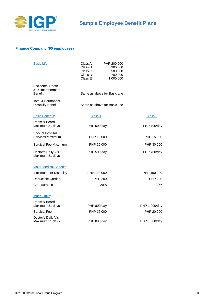

## **Finance Company (90 employees)**

| <b>Basic Life:</b>                                        | Class A<br>PHP 200,000<br>Class B<br>300,000<br>Class C<br>500,000<br>Class D<br>700,000<br>Class E<br>1,000,000 |                |
|-----------------------------------------------------------|------------------------------------------------------------------------------------------------------------------|----------------|
| <b>Accidental Death</b><br>& Dismemberment<br>Benefit:    | Same as above for Basic Life                                                                                     |                |
| <b>Total &amp; Permanent</b><br><b>Disability Benefit</b> | Same as above for Basic Life                                                                                     |                |
| <b>Basic Benefits:</b>                                    | Class 1                                                                                                          | Class 2        |
| Room & Board<br>Maximum 31 days                           | <b>PHP 500/day</b>                                                                                               | PHP 700/day    |
| Special Hospital<br>Services Maximum                      | PHP 12,000                                                                                                       | PHP 15,000     |
| Surgical Fee Maximum                                      | PHP 25,000                                                                                                       | PHP 30,000     |
| Doctor's Daily Visit<br>Maximum 31 days                   | PHP 500/day                                                                                                      | PHP 700/day    |
| <b>Major Medical Benefits:</b>                            |                                                                                                                  |                |
| Maximum per Disability                                    | PHP 100,000                                                                                                      | PHP 150,000    |
| <b>Deductible Corridor</b>                                | <b>PHP 200</b>                                                                                                   | <b>PHP 200</b> |
| Co-Insurance                                              | 20%                                                                                                              | 20%            |
| <b>Inner Limits:</b>                                      |                                                                                                                  |                |
| Room & Board<br>Maximum 31 days                           | <b>PHP 800/day</b>                                                                                               | PHP 1,000/day  |
| <b>Surgical Fee</b>                                       | PHP 16,000                                                                                                       | PHP 20,000     |
| Doctor's Daily Visit<br>Maximum 31 days                   | PHP 800/day                                                                                                      | PHP 1,000/day  |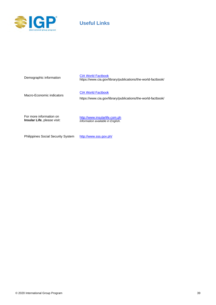

# **Useful Links**

| Demographic information                                       | <b>CIA World Factbook</b><br>https://www.cia.gov/library/publications/the-world-factbook/ |
|---------------------------------------------------------------|-------------------------------------------------------------------------------------------|
| Macro-Economic indicators                                     | <b>CIA World Factbook</b><br>https://www.cia.gov/library/publications/the-world-factbook/ |
| For more information on<br><b>Insular Life, please visit:</b> | http://www.insularlife.com.ph<br>Information available in English.                        |

Philippines Social Security System <http://www.sss.gov.ph/>